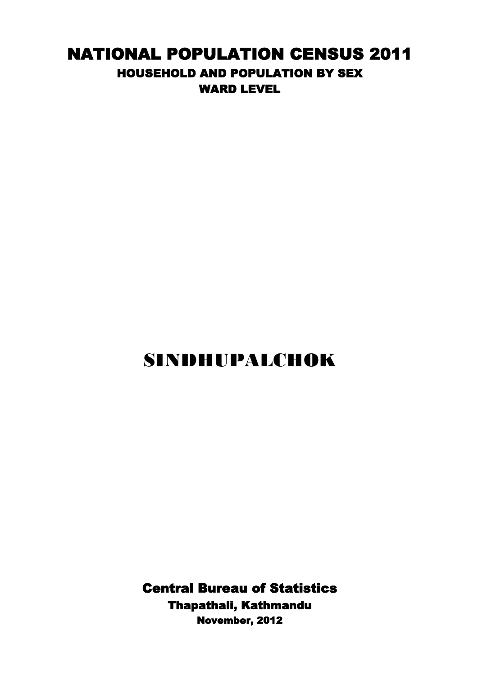## NATIONAL POPULATION CENSUS 2011 HOUSEHOLD AND POPULATION BY SEX WARD LEVEL

## SINDHUPALCHOK

Central Bureau of Statistics Thapathali, Kathmandu November, 2012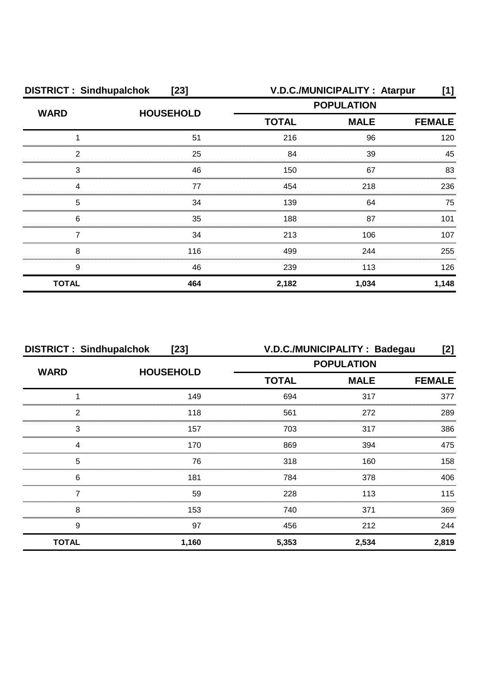| <b>DISTRICT: Sindhupalchok</b><br>$[23]$ |                  |                             | V.D.C./MUNICIPALITY: Atarpur | [1]   |
|------------------------------------------|------------------|-----------------------------|------------------------------|-------|
| <b>WARD</b>                              | <b>HOUSEHOLD</b> | <b>POPULATION</b>           |                              |       |
|                                          |                  | <b>TOTAL</b><br><b>MALE</b> | <b>FEMALE</b>                |       |
|                                          | 51               | 216                         | 96                           | 120   |
| 2                                        | 25               | 84                          | 39                           | 45    |
| 3                                        | 46               | 150                         | 67                           | 83    |
| Δ                                        | 77               | 454                         | 218                          | 236   |
| 5                                        | 34               | 139                         | 64                           | 75    |
| 6                                        | 35               | 188                         | 87                           | 101   |
|                                          | 34               | 213                         | 106                          | 107   |
| 8                                        | 116              | 499                         | 244                          | 255   |
| 9                                        | 46               | 239                         | 113                          | 126   |
| <b>TOTAL</b>                             | 464              | 2,182                       | 1,034                        | 1,148 |

| <b>DISTRICT: Sindhupalchok</b><br>$[23]$ |                  | V.D.C./MUNICIPALITY: Badegau<br>[2] |               |       |
|------------------------------------------|------------------|-------------------------------------|---------------|-------|
|                                          |                  | <b>POPULATION</b>                   |               |       |
| <b>WARD</b>                              | <b>HOUSEHOLD</b> | <b>TOTAL</b><br><b>MALE</b>         | <b>FEMALE</b> |       |
|                                          | 149              | 694                                 | 317           | 377   |
| 2                                        | 118              | 561                                 | 272           | 289   |
| 3                                        | 157              | 703                                 | 317           | 386   |
| 4                                        | 170              | 869                                 | 394           | 475   |
| 5                                        | 76               | 318                                 | 160           | 158   |
| 6                                        | 181              | 784                                 | 378           | 406   |
|                                          | 59               | 228                                 | 113           | 115   |
| 8                                        | 153              | 740                                 | 371           | 369   |
| 9                                        | 97               | 456                                 | 212           | 244   |
| <b>TOTAL</b>                             | 1,160            | 5,353                               | 2,534         | 2,819 |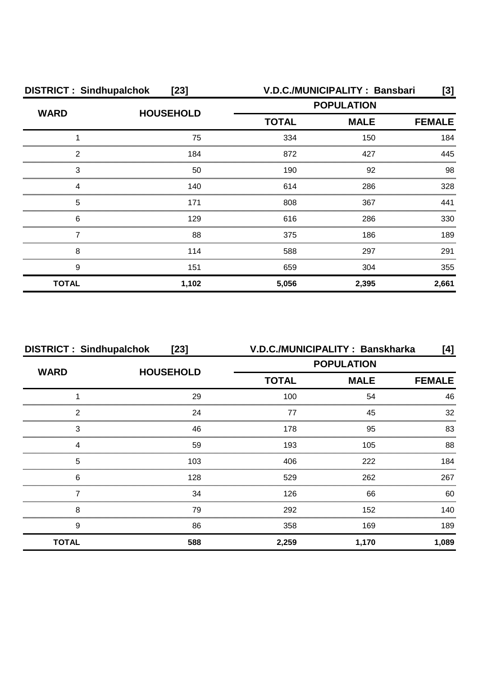| <b>DISTRICT: Sindhupalchok</b><br>$[23]$ |                  |                                                  | V.D.C./MUNICIPALITY: Bansbari | [3]           |
|------------------------------------------|------------------|--------------------------------------------------|-------------------------------|---------------|
| <b>WARD</b>                              | <b>HOUSEHOLD</b> | <b>POPULATION</b><br><b>TOTAL</b><br><b>MALE</b> |                               |               |
|                                          |                  |                                                  |                               | <b>FEMALE</b> |
|                                          | 75               | 334                                              | 150                           | 184           |
| 2                                        | 184              | 872                                              | 427                           | 445           |
| 3                                        | 50               | 190                                              | 92                            | 98            |
| Δ                                        | 140              | 614                                              | 286                           | 328           |
| 5                                        | 171              | 808                                              | 367                           | 441           |
| 6                                        | 129              | 616                                              | 286                           | 330           |
|                                          | 88               | 375                                              | 186                           | 189           |
| 8                                        | 114              | 588                                              | 297                           | 291           |
| 9                                        | 151              | 659                                              | 304                           | 355           |
| <b>TOTAL</b>                             | 1,102            | 5,056                                            | 2,395                         | 2,661         |

| <b>DISTRICT: Sindhupalchok</b> | $[23]$           | V.D.C./MUNICIPALITY: Banskharka<br>[4]           |       |               |
|--------------------------------|------------------|--------------------------------------------------|-------|---------------|
| <b>WARD</b>                    | <b>HOUSEHOLD</b> | <b>POPULATION</b><br><b>TOTAL</b><br><b>MALE</b> |       |               |
|                                |                  |                                                  |       | <b>FEMALE</b> |
|                                | 29               | 100                                              | 54    | 46            |
| っ                              | 24               | 77                                               | 45    | 32            |
| 3                              | 46               | 178                                              | 95    | 83            |
|                                | 59               | 193                                              | 105   | 88            |
| 5                              | 103              | 406                                              | 222   | 184           |
| 6                              | 128              | 529                                              | 262   | 267           |
|                                | 34               | 126                                              | 66    | 60            |
| 8                              | 79               | 292                                              | 152   | 140.          |
| 9                              | 86               | 358                                              | 169   | 189           |
| <b>TOTAL</b>                   | 588              | 2,259                                            | 1,170 | 1,089         |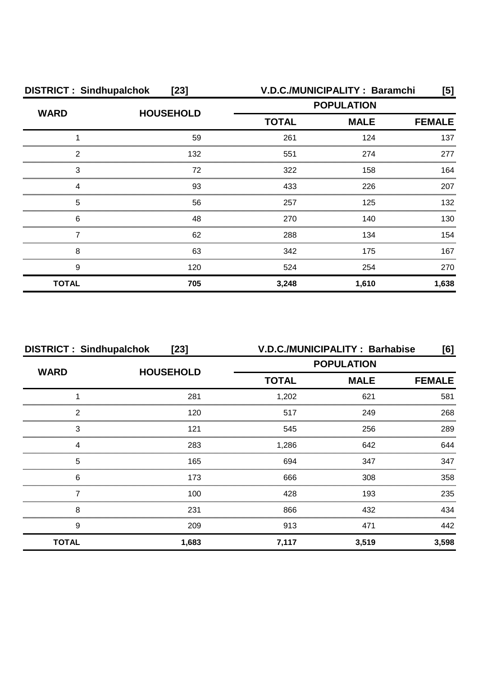| <b>DISTRICT: Sindhupalchok</b><br>$[23]$ |                  | V.D.C./MUNICIPALITY: Baramchi<br>[5] |             |               |
|------------------------------------------|------------------|--------------------------------------|-------------|---------------|
| <b>WARD</b>                              | <b>HOUSEHOLD</b> | <b>POPULATION</b>                    |             |               |
|                                          |                  | <b>TOTAL</b>                         | <b>MALE</b> | <b>FEMALE</b> |
|                                          | 59               | 261                                  | 124         | 137           |
| 2                                        | 132              | 551                                  | 274         | 277           |
| 3                                        | 72               | 322                                  | 158         | 164           |
| Δ                                        | 93               | 433                                  | 226         | 207           |
| 5                                        | 56               | 257                                  | 125         | 132           |
| 6                                        | 48               | 270                                  | 140         | 130           |
|                                          | 62               | 288                                  | 134         | 154           |
| 8                                        | 63               | 342                                  | 175         | 167           |
| 9                                        | 120              | 524                                  | 254         | 270           |
| <b>TOTAL</b>                             | 705              | 3,248                                | 1,610       | 1,638         |

| <b>DISTRICT: Sindhupalchok</b><br>$[23]$ |                  |                             | V.D.C./MUNICIPALITY: Barhabise | [6]   |
|------------------------------------------|------------------|-----------------------------|--------------------------------|-------|
|                                          |                  | <b>POPULATION</b>           |                                |       |
| <b>WARD</b>                              | <b>HOUSEHOLD</b> | <b>TOTAL</b><br><b>MALE</b> | <b>FEMALE</b>                  |       |
|                                          | 281              | 1,202                       | 621                            | 581   |
| 2                                        | 120              | 517                         | 249                            | 268   |
| 3                                        | 121              | 545                         | 256                            | 289   |
|                                          | 283              | 1,286                       | 642                            | 644   |
| 5                                        | 165              | 694                         | 347                            | 347   |
| 6                                        | 173              | 666                         | 308                            | 358   |
|                                          | 100              | 428                         | 193                            | 235   |
| 8                                        | 231              | 866                         | 432                            | 434   |
| 9                                        | 209              | 913                         | 471                            | 442   |
| <b>TOTAL</b>                             | 1,683            | 7,117                       | 3,519                          | 3,598 |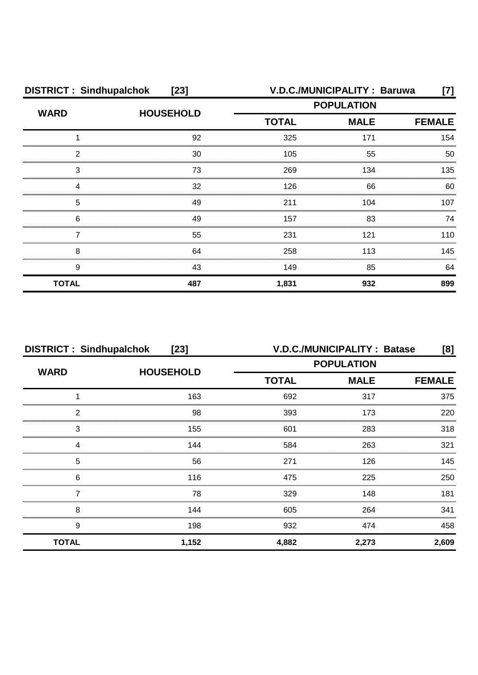| <b>DISTRICT: Sindhupalchok</b><br>$[23]$ |                  |                                                  | V.D.C./MUNICIPALITY : Baruwa | [7]           |
|------------------------------------------|------------------|--------------------------------------------------|------------------------------|---------------|
| <b>WARD</b>                              | <b>HOUSEHOLD</b> | <b>POPULATION</b><br><b>TOTAL</b><br><b>MALE</b> |                              |               |
|                                          |                  |                                                  |                              | <b>FEMALE</b> |
|                                          | 92               | 325                                              | 171                          | 154           |
| 2                                        | 30               | 105                                              | 55                           | 50            |
| 3                                        | 73               | 269                                              | 134                          | 135           |
| Δ                                        | 32               | 126                                              | 66                           | 60            |
| 5                                        | 49               | 211                                              | 104                          | 107           |
| 6                                        | 49               | 157                                              | 83                           | 74            |
|                                          | 55               | 231                                              | 121                          | 110           |
| 8                                        | 64               | 258                                              | 113                          | 145           |
| 9                                        | 43               | 149                                              | 85                           | 64            |
| <b>TOTAL</b>                             | 487              | 1,831                                            | 932                          | 899           |

| <b>DISTRICT: Sindhupalchok</b><br>$[23]$ |                  |                   | <b>V.D.C./MUNICIPALITY: Batase</b> | [8]           |
|------------------------------------------|------------------|-------------------|------------------------------------|---------------|
| <b>WARD</b>                              | <b>HOUSEHOLD</b> | <b>POPULATION</b> |                                    |               |
|                                          |                  | <b>TOTAL</b>      | <b>MALE</b>                        | <b>FEMALE</b> |
|                                          | 163              | 692               | 317                                | 375           |
| っ                                        | 98               | 393               | 173                                | 220           |
| 3                                        | 155              | 601               | 283                                | 318           |
|                                          | 144              | 584               | 263                                | 321           |
| 5                                        | 56               | 271               | 126                                | 145           |
| 6                                        | 116              | 475               | 225                                | 250           |
|                                          | 78               | 329               | 148                                | 181           |
| 8                                        | 144              | 605               | 264                                | 341           |
| 9                                        | 198              | 932               | 474                                | 458           |
| <b>TOTAL</b>                             | 1,152            | 4,882             | 2,273                              | 2,609         |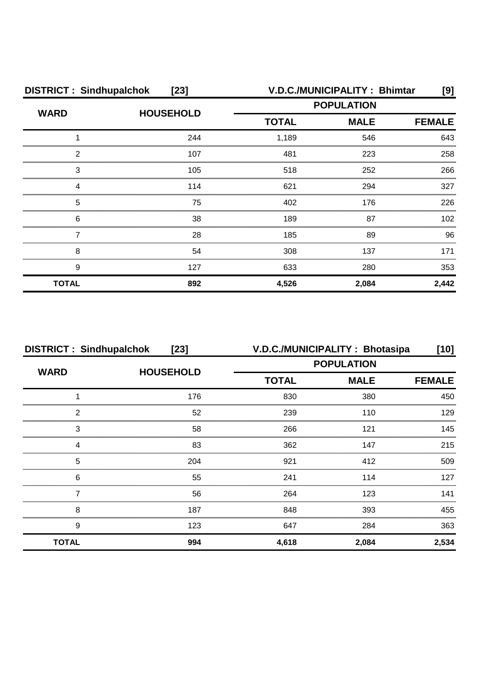| <b>DISTRICT: Sindhupalchok</b><br>$[23]$ |                  |                             | <b>V.D.C./MUNICIPALITY: Bhimtar</b> | [9]   |
|------------------------------------------|------------------|-----------------------------|-------------------------------------|-------|
| <b>WARD</b>                              | <b>HOUSEHOLD</b> | <b>POPULATION</b>           |                                     |       |
|                                          |                  | <b>TOTAL</b><br><b>MALE</b> | <b>FEMALE</b>                       |       |
|                                          | 244              | 1,189                       | 546                                 | 643   |
| 2                                        | 107              | 481                         | 223                                 | 258   |
| 3                                        | 105              | 518                         | 252                                 | 266   |
| Δ                                        | 114              | 621                         | 294                                 | 327   |
| 5                                        | 75               | 402                         | 176                                 | 226   |
| 6                                        | 38               | 189                         | 87                                  | 102   |
|                                          | 28               | 185                         | 89                                  | 96    |
| 8                                        | 54               | 308                         | 137                                 | 171   |
| 9                                        | 127              | 633                         | 280                                 | 353   |
| <b>TOTAL</b>                             | 892              | 4,526                       | 2,084                               | 2,442 |

| <b>DISTRICT: Sindhupalchok</b> | $[23]$           |                   | V.D.C./MUNICIPALITY: Bhotasipa | [10]          |
|--------------------------------|------------------|-------------------|--------------------------------|---------------|
| <b>WARD</b>                    | <b>HOUSEHOLD</b> | <b>POPULATION</b> |                                |               |
|                                |                  | <b>TOTAL</b>      | <b>MALE</b>                    | <b>FEMALE</b> |
|                                | 176              | 830               | 380                            | 450           |
| っ                              | 52               | 239               | 110                            | 129           |
| 3                              | 58               | 266               | 121                            | 145           |
|                                | 83               | 362               | 147                            | 215           |
| 5                              | 204              | 921               | 412                            | 509           |
| 6                              | 55               | 241               | 114                            | 127           |
|                                | 56               | 264               | 123                            | 141           |
| 8                              | 187              | 848               | 393                            | 455           |
| 9                              | 123              | 647               | 284                            | 363           |
| <b>TOTAL</b>                   | 994              | 4,618             | 2,084                          | 2,534         |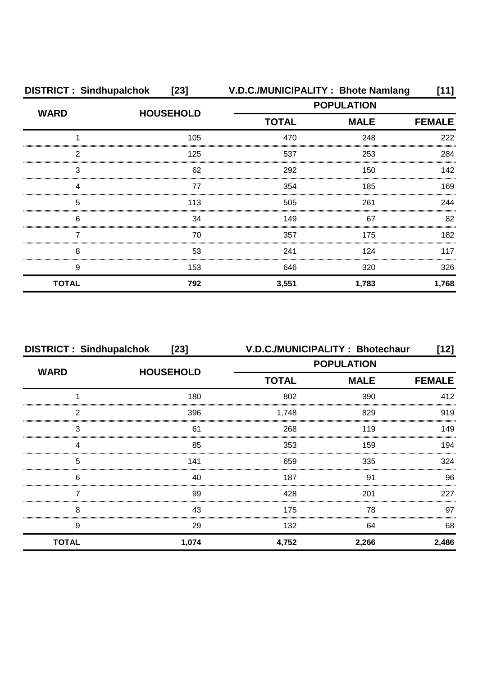| <b>DISTRICT: Sindhupalchok</b> | $[23]$           |                   | V.D.C./MUNICIPALITY: Bhote Namlang | [11]          |
|--------------------------------|------------------|-------------------|------------------------------------|---------------|
| <b>WARD</b>                    |                  | <b>POPULATION</b> |                                    |               |
|                                | <b>HOUSEHOLD</b> | <b>TOTAL</b>      | <b>MALE</b>                        | <b>FEMALE</b> |
|                                | 105              | 470               | 248                                | 222           |
| 2                              | 125              | 537               | 253                                | 284           |
| 3                              | 62               | 292               | 150                                | 142           |
| ⊿                              | 77               | 354               | 185                                | 169           |
| 5                              | 113              | 505               | 261                                | 244           |
| 6                              | 34               | 149               | 67                                 | 82            |
|                                | 70               | 357               | 175                                | 182           |
| 8                              | 53               | 241               | 124                                | 117           |
| 9                              | 153              | 646               | 320                                | 326           |
| <b>TOTAL</b>                   | 792              | 3,551             | 1,783                              | 1,768         |

| <b>DISTRICT: Sindhupalchok</b><br>$[23]$ |                  | V.D.C./MUNICIPALITY: Bhotechaur |             | [12]          |
|------------------------------------------|------------------|---------------------------------|-------------|---------------|
|                                          |                  | <b>POPULATION</b>               |             |               |
| <b>WARD</b>                              | <b>HOUSEHOLD</b> | <b>TOTAL</b>                    | <b>MALE</b> | <b>FEMALE</b> |
|                                          | 180              | 802                             | 390         | 412           |
| 2                                        | 396              | 1,748                           | 829         | 919           |
| 3                                        | 61               | 268                             | 119         | 149           |
|                                          | 85               | 353                             | 159         | 194           |
| 5                                        | 141              | 659                             | 335         | 324           |
| 6                                        | 40               | 187                             | .91         | 96            |
|                                          | 99               | 428                             | 201         | 227           |
| 8                                        | 43               | 175                             | 78          | 97            |
| 9                                        | 29               | 132                             | 64          | 68            |
| <b>TOTAL</b>                             | 1,074            | 4,752                           | 2,266       | 2,486         |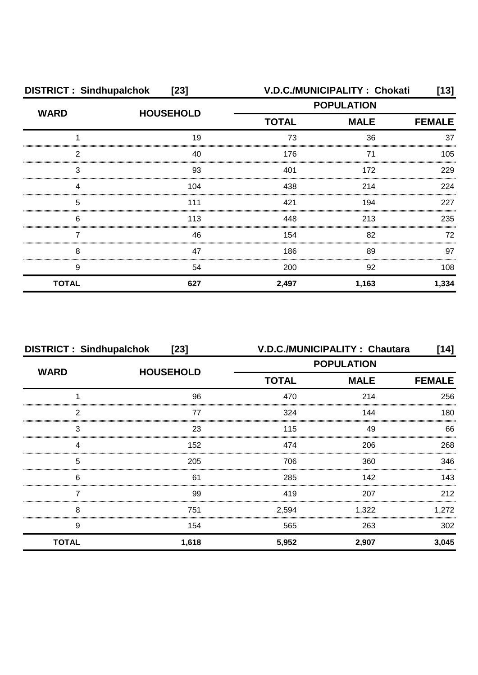| <b>DISTRICT: Sindhupalchok</b><br>$[23]$ |                  |                             | V.D.C./MUNICIPALITY: Chokati | [13]  |
|------------------------------------------|------------------|-----------------------------|------------------------------|-------|
| <b>WARD</b>                              | <b>HOUSEHOLD</b> |                             | <b>POPULATION</b>            |       |
|                                          |                  | <b>TOTAL</b><br><b>MALE</b> | <b>FEMALE</b>                |       |
|                                          | 19               | 73                          | 36                           | 37    |
| 2                                        | 40               | 176                         |                              | 105   |
| 3                                        | 93               | 401                         | 172                          | 229   |
| Δ                                        | 104              | 438                         | 214                          | 224   |
| 5                                        | 111              | 421                         | 194                          | 227   |
| 6                                        | 113              | 448                         | 213                          | 235   |
|                                          | 46               | 154                         | 82                           | 72    |
| 8                                        | 47               | 186                         | 89                           | 97    |
| 9                                        | 54               | 200                         | 92                           | 108   |
| <b>TOTAL</b>                             | 627              | 2,497                       | 1,163                        | 1,334 |

| <b>DISTRICT: Sindhupalchok</b><br>$[23]$ |                  |                             | V.D.C./MUNICIPALITY: Chautara | [14]  |
|------------------------------------------|------------------|-----------------------------|-------------------------------|-------|
| <b>WARD</b>                              | <b>HOUSEHOLD</b> | <b>POPULATION</b>           |                               |       |
|                                          |                  | <b>TOTAL</b><br><b>MALE</b> | <b>FEMALE</b>                 |       |
|                                          | 96               | 470                         | 214                           | 256   |
| 2                                        | 77               | 324                         | 144                           | 180   |
| 3                                        | 23               | 115                         | 49                            | 66    |
| 4                                        | 152              | 474                         | 206                           | 268   |
| 5                                        | 205              | 706                         | 360                           | 346   |
| 6                                        | 61               | 285                         | 142                           | 143   |
|                                          | 99               | 419                         | 207                           | 212   |
| 8                                        | 751              | 2,594                       | 1,322                         | 1,272 |
| 9                                        | 154              | 565                         | 263                           | 302   |
| <b>TOTAL</b>                             | 1,618            | 5,952                       | 2,907                         | 3,045 |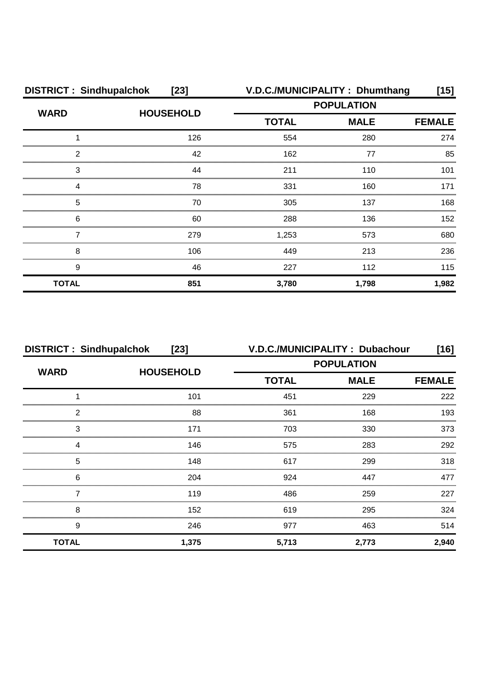| <b>DISTRICT: Sindhupalchok</b><br>$[23]$ |                  | V.D.C./MUNICIPALITY: Dhumthang<br>[15] |                   |       |
|------------------------------------------|------------------|----------------------------------------|-------------------|-------|
| <b>WARD</b>                              |                  |                                        | <b>POPULATION</b> |       |
|                                          | <b>HOUSEHOLD</b> | <b>TOTAL</b><br><b>MALE</b>            | <b>FEMALE</b>     |       |
|                                          | 126              | 554                                    | 280               | 274   |
| 2                                        | 42               | 162                                    | 77                | 85    |
| 3                                        | 44               | 211                                    | 110               | 101   |
| Δ                                        | 78               | 331                                    | 160               | 171   |
| 5                                        | 70               | 305                                    | 137               | 168   |
| 6                                        | 60               | 288                                    | 136               | 152   |
|                                          | 279              | 1,253                                  | 573               | 680   |
| 8                                        | 106              | 449                                    | 213               | 236   |
| 9                                        | 46               | 227                                    | 112               | 115   |
| <b>TOTAL</b>                             | 851              | 3,780                                  | 1,798             | 1,982 |

| <b>DISTRICT: Sindhupalchok</b> | $[23]$           |                   | V.D.C./MUNICIPALITY: Dubachour | [16]          |
|--------------------------------|------------------|-------------------|--------------------------------|---------------|
| <b>WARD</b>                    | <b>HOUSEHOLD</b> | <b>POPULATION</b> |                                |               |
|                                |                  | <b>TOTAL</b>      | <b>MALE</b>                    | <b>FEMALE</b> |
|                                | 101              | 451               | 229                            | 222           |
| っ                              | 88               | 361               | 168                            | 193           |
| 3                              | 171              | 703               | 330                            | 373           |
|                                | 146              | 575               | 283                            | 292           |
| 5                              | 148              | 617               | 299                            | 318           |
| 6                              | 204              | 924               | 447                            | 477           |
|                                | 119              | 486               | 259                            | 227           |
| 8                              | 152              | 619               | 295                            | 324           |
| 9                              | 246              | 977               | 463                            | 514           |
| <b>TOTAL</b>                   | 1,375            | 5,713             | 2,773                          | 2,940         |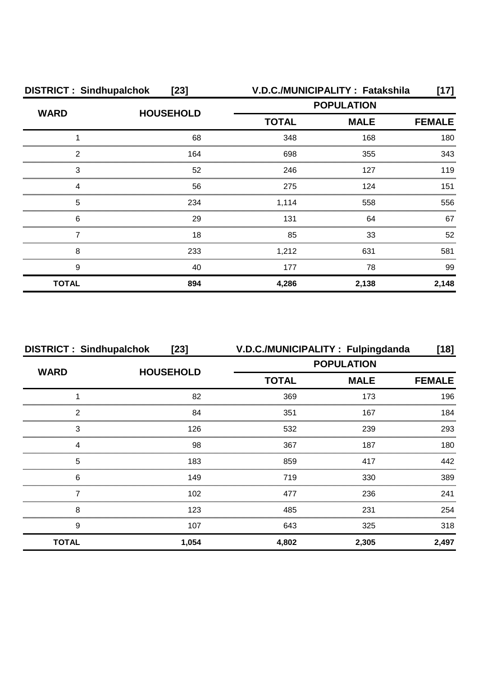| <b>DISTRICT: Sindhupalchok</b><br>$[23]$ |                  |                             | V.D.C./MUNICIPALITY : Fatakshila | 17]   |
|------------------------------------------|------------------|-----------------------------|----------------------------------|-------|
| <b>WARD</b>                              | <b>HOUSEHOLD</b> |                             | <b>POPULATION</b>                |       |
|                                          |                  | <b>TOTAL</b><br><b>MALE</b> | <b>FEMALE</b>                    |       |
|                                          | 68               | 348                         | 168                              | 180   |
| 2                                        | 164              | 698                         | 355                              | 343   |
| 3                                        | 52               | 246                         | 127                              | 119   |
| Δ                                        | 56               | 275                         | 124                              | 151   |
| 5                                        | 234              | 1,114                       | 558                              | 556   |
| 6                                        | 29               | 131                         | 64                               | 67    |
|                                          | 18               | 85                          | 33                               | 52    |
| 8                                        | 233              | 1,212                       | 631                              | 581   |
| 9                                        | 40               | 177                         | 78                               | 99    |
| <b>TOTAL</b>                             | 894              | 4,286                       | 2,138                            | 2,148 |

| <b>DISTRICT: Sindhupalchok</b> | $[23]$           |                             | V.D.C./MUNICIPALITY: Fulpingdanda | $[18]$        |
|--------------------------------|------------------|-----------------------------|-----------------------------------|---------------|
| <b>WARD</b>                    | <b>HOUSEHOLD</b> | <b>POPULATION</b>           |                                   |               |
|                                |                  | <b>TOTAL</b><br><b>MALE</b> |                                   | <b>FEMALE</b> |
|                                | 82               | 369                         | 173                               | 196           |
| 2                              | 84               | 351                         | 167                               | 184           |
| З                              | 126              | 532                         | 239                               | 293           |
|                                | 98               | 367                         | 187                               | 180           |
| 5                              | 183              | 859                         | 417                               | 442           |
| 6                              | 149              | 719                         | 330                               | 389           |
|                                | 102              | 477                         | 236                               | 241           |
| 8                              | 123              | 485                         | 231                               | 254           |
| 9                              | 107              | 643                         | 325                               | 318           |
| <b>TOTAL</b>                   | 1,054            | 4,802                       | 2,305                             | 2,497         |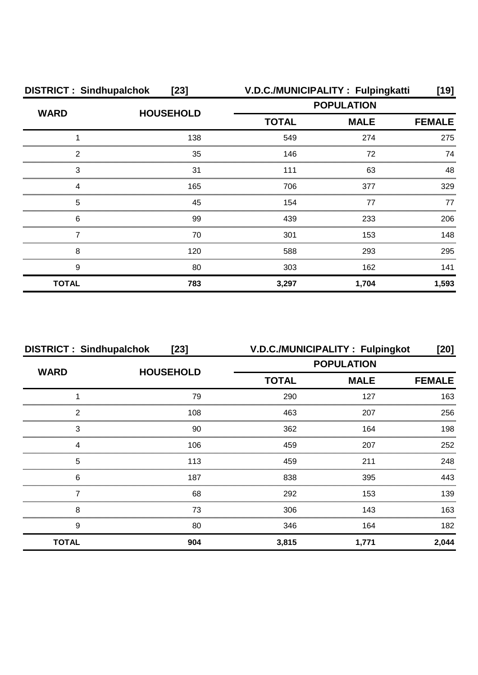| <b>DISTRICT: Sindhupalchok</b> | $[23]$           |                   | V.D.C./MUNICIPALITY: Fulpingkatti | [19]          |
|--------------------------------|------------------|-------------------|-----------------------------------|---------------|
| <b>WARD</b>                    | <b>HOUSEHOLD</b> | <b>POPULATION</b> |                                   |               |
|                                |                  | <b>TOTAL</b>      | <b>MALE</b>                       | <b>FEMALE</b> |
|                                | 138              | 549               | 274                               | 275           |
| 2                              | 35               | 146               | 72                                | 74            |
| 3                              | 31               | 111               | 63                                | 48            |
| Δ                              | 165              | 706               | 377                               | 329           |
| 5                              | 45               | 154               | 77                                | 77            |
| 6                              | 99               | 439               | 233                               | 206           |
|                                | 70               | 301               | 153                               | 148           |
| 8                              | 120              | 588               | 293                               | 295           |
| 9                              | 80               | 303               | 162                               | 141           |
| <b>TOTAL</b>                   | 783              | 3,297             | 1,704                             | 1,593         |

| <b>DISTRICT: Sindhupalchok</b> | $[23]$           | V.D.C./MUNICIPALITY: Fulpingkot |             | [20]          |
|--------------------------------|------------------|---------------------------------|-------------|---------------|
| <b>WARD</b>                    | <b>HOUSEHOLD</b> | <b>POPULATION</b>               |             |               |
|                                |                  | <b>TOTAL</b>                    | <b>MALE</b> | <b>FEMALE</b> |
|                                | 79               | 290                             | 127         | 163           |
| っ                              | 108              | 463                             | 207         | 256           |
| 3                              | 90               | 362                             | 164         | 198           |
|                                | 106              | 459                             | 207         | 252           |
| 5                              | 113              | 459                             | 211         | 248           |
| 6                              | 187              | 838                             | 395         | 443           |
|                                | 68               | 292                             | 153         | 139           |
| 8                              | 73               | 306                             | 143         | 163           |
| 9                              | 80               | 346                             | 164         | 182           |
| <b>TOTAL</b>                   | 904              | 3,815                           | 1.771       | 2,044         |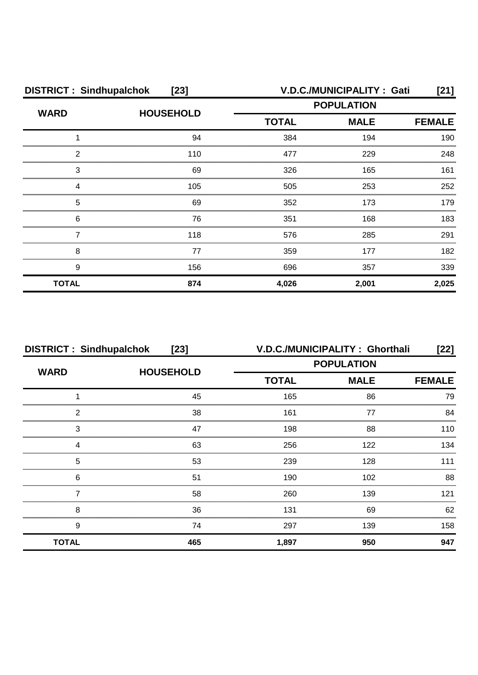| <b>DISTRICT: Sindhupalchok</b><br>$[23]$ |                  |                             | V.D.C./MUNICIPALITY: Gati | [21]  |
|------------------------------------------|------------------|-----------------------------|---------------------------|-------|
| <b>WARD</b>                              | <b>HOUSEHOLD</b> |                             | <b>POPULATION</b>         |       |
|                                          |                  | <b>TOTAL</b><br><b>MALE</b> | <b>FEMALE</b>             |       |
|                                          | 94               | 384                         | 194                       | 190   |
| 2                                        | 110              | 477                         | 229                       | 248   |
| 3                                        | 69               | 326                         | 165                       | 161   |
| Δ                                        | 105              | 505                         | 253                       | 252   |
| 5                                        | 69               | 352                         | 173                       | 179   |
| 6                                        | 76               | 351                         | 168                       | 183   |
|                                          | 118              | 576                         | 285                       | 291   |
| 8                                        | 77               | 359                         | 177                       | 182   |
| 9                                        | 156              | 696                         | 357                       | 339   |
| <b>TOTAL</b>                             | 874              | 4,026                       | 2,001                     | 2,025 |

| <b>DISTRICT: Sindhupalchok</b> | $[23]$           |                   | V.D.C./MUNICIPALITY: Ghorthali | [22]          |
|--------------------------------|------------------|-------------------|--------------------------------|---------------|
| <b>WARD</b>                    | <b>HOUSEHOLD</b> | <b>POPULATION</b> |                                |               |
|                                |                  | <b>TOTAL</b>      | <b>MALE</b>                    | <b>FEMALE</b> |
|                                | 45               | 165               | 86                             | 79            |
| っ                              | 38               | 161               | 77                             | 84            |
| 3                              | 47               | 198               | 88                             | 110           |
|                                | 63               | 256               | 122                            | 134           |
| 5                              | 53               | 239               | 128                            | 111           |
| 6                              | 51               | 190               | 102                            | 88            |
|                                | 58               | 260               | 139                            | 121           |
| 8                              | 36               | 131               | 69                             | 62            |
| 9                              | 74               | 297               | 139                            | 158           |
| <b>TOTAL</b>                   | 465              | 1,897             | 950                            | 947           |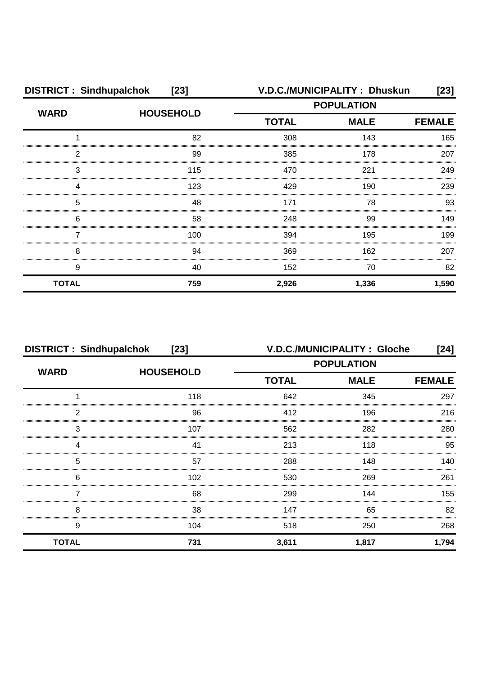| <b>DISTRICT: Sindhupalchok</b><br>$[23]$ |                  |                   | V.D.C./MUNICIPALITY: Dhuskun | [23]          |
|------------------------------------------|------------------|-------------------|------------------------------|---------------|
| <b>WARD</b>                              | <b>HOUSEHOLD</b> | <b>POPULATION</b> |                              |               |
|                                          |                  | <b>TOTAL</b>      | <b>MALE</b>                  | <b>FEMALE</b> |
|                                          | 82               | 308               | 143                          | 165           |
| 2                                        | 99               | 385               | 178                          | 207           |
| 3                                        | 115              | 470               | 221                          | 249           |
|                                          | 123              | 429               | 190                          | 239           |
| 5                                        | 48               | 171               | 78                           | 93            |
| 6                                        | 58               | 248               | 99                           | 149           |
|                                          | 100              | 394               | 195                          | 199           |
| 8                                        | 94               | 369               | 162                          | 207           |
| 9                                        | 40               | 152               | 70                           | 82            |
| <b>TOTAL</b>                             | 759              | 2,926             | 1,336                        | 1,590         |

| <b>DISTRICT: Sindhupalchok</b><br>$[23]$ |                  | <b>V.D.C./MUNICIPALITY: Gloche</b><br>[24] |               |       |
|------------------------------------------|------------------|--------------------------------------------|---------------|-------|
| <b>WARD</b>                              | <b>HOUSEHOLD</b> | <b>POPULATION</b>                          |               |       |
|                                          |                  | <b>TOTAL</b><br><b>MALE</b>                | <b>FEMALE</b> |       |
|                                          | 118              | 642                                        | 345           | 297   |
| 2                                        | 96               | 412                                        | 196           | 216   |
| 3                                        | 107              | 562                                        | 282           | 280   |
| 4                                        | 41               | 213                                        | 118           | 95    |
| 5                                        | 57               | 288                                        | 148           | 140   |
| 6                                        | 102              | 530                                        | 269           | 261   |
|                                          | 68               | 299                                        | 144           | 155   |
| 8                                        | 38               | 147                                        | 65            | 82    |
| 9                                        | 104              | 518                                        | 250           | 268   |
| <b>TOTAL</b>                             | 731              | 3,611                                      | 1,817         | 1,794 |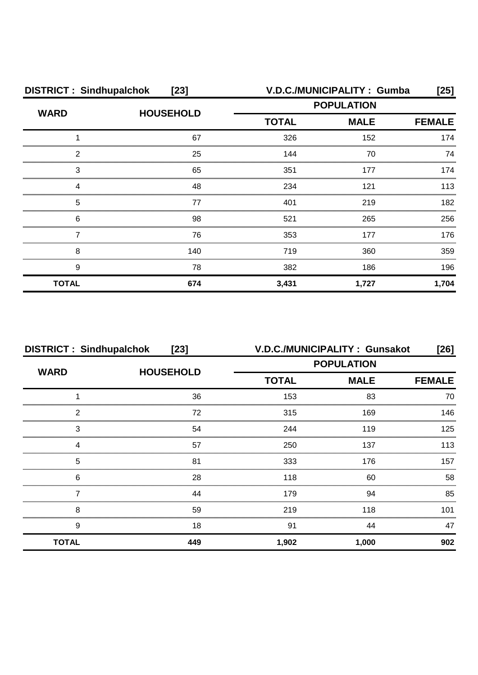| <b>DISTRICT: Sindhupalchok</b><br>$[23]$ |                  | V.D.C./MUNICIPALITY: Gumba<br>[25] |             |               |
|------------------------------------------|------------------|------------------------------------|-------------|---------------|
| <b>WARD</b>                              | <b>HOUSEHOLD</b> | <b>POPULATION</b>                  |             |               |
|                                          |                  | <b>TOTAL</b>                       | <b>MALE</b> | <b>FEMALE</b> |
|                                          | 67               | 326                                | 152         | 174           |
| 2                                        | 25               | 144                                | 70          | 74            |
| 3                                        | 65               | 351                                | 177         | 174           |
| Δ                                        | 48               | 234                                | 121         | 113           |
| 5                                        | 77               | 401                                | 219         | 182           |
| 6                                        | 98               | 521                                | 265         | 256           |
|                                          | 76               | 353                                | 177         | 176           |
| 8                                        | 140              | 719                                | 360         | 359           |
| 9                                        | 78               | 382                                | 186         | 196           |
| <b>TOTAL</b>                             | 674              | 3,431                              | 1,727       | 1,704         |

|              | <b>DISTRICT: Sindhupalchok</b><br>$[23]$ |                   | V.D.C./MUNICIPALITY: Gunsakot<br>[26] |               |  |
|--------------|------------------------------------------|-------------------|---------------------------------------|---------------|--|
| <b>WARD</b>  | <b>HOUSEHOLD</b>                         | <b>POPULATION</b> |                                       |               |  |
|              |                                          | <b>TOTAL</b>      | <b>MALE</b>                           | <b>FEMALE</b> |  |
|              | 36                                       | 153               | 83                                    | 70            |  |
| 2            | 72                                       | 315               | 169                                   | 146           |  |
| 3            | 54                                       | 244               | 119                                   | 125           |  |
|              | 57                                       | 250               | 137                                   | 113           |  |
| 5            | 81                                       | 333               | 176                                   | 157           |  |
| 6            | 28                                       | 118               | 60                                    | 58            |  |
|              | 44                                       | 179               | 94                                    | 85            |  |
| 8            | 59                                       | 219               | 118                                   | 101           |  |
| 9            | 18                                       | 91                | 44                                    | 47            |  |
| <b>TOTAL</b> | 449                                      | 1,902             | 1,000                                 | 902           |  |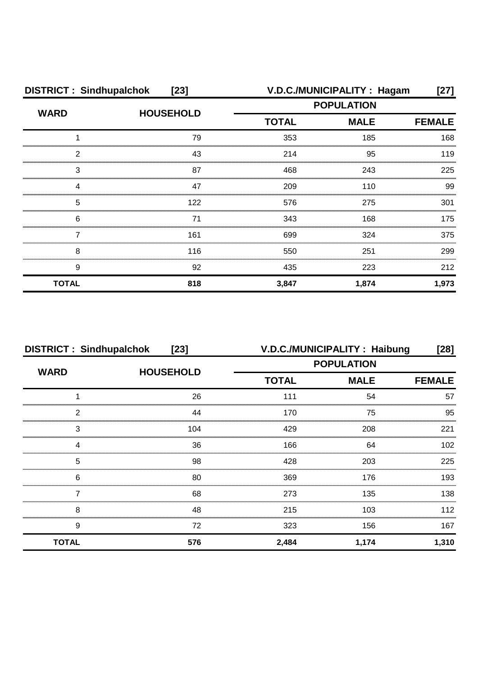| <b>DISTRICT: Sindhupalchok</b><br>$[23]$ |                  | V.D.C./MUNICIPALITY: Hagam<br>[27] |             |               |
|------------------------------------------|------------------|------------------------------------|-------------|---------------|
| <b>WARD</b>                              | <b>HOUSEHOLD</b> | <b>POPULATION</b>                  |             |               |
|                                          |                  | <b>TOTAL</b>                       | <b>MALE</b> | <b>FEMALE</b> |
|                                          | 79               | 353                                | 185         | 168           |
| 2                                        | 43               | 214                                | 95          | 119           |
| 3                                        | 87               | 468                                | 243         | 225           |
| Δ                                        | 47               | 209                                | 110         | 99            |
| 5                                        | 122              | 576                                | 275         | 301           |
| 6                                        | 71               | 343                                | 168         | 175           |
|                                          | 161              | 699                                | 324         | 375           |
| 8                                        | 116              | 550                                | 251         | 299           |
| 9                                        | 92               | 435                                | 223         | 212           |
| <b>TOTAL</b>                             | 818              | 3,847                              | 1,874       | 1,973         |

| <b>DISTRICT: Sindhupalchok</b><br>$[23]$ |                  | V.D.C./MUNICIPALITY: Haibung<br>[28] |             |               |
|------------------------------------------|------------------|--------------------------------------|-------------|---------------|
| <b>WARD</b>                              | <b>HOUSEHOLD</b> | <b>POPULATION</b>                    |             |               |
|                                          |                  | <b>TOTAL</b>                         | <b>MALE</b> | <b>FEMALE</b> |
|                                          | 26               | 111                                  | 54          | 57            |
| 2                                        | 44               | 170                                  | 75          | 95            |
| 3                                        | 104              | 429                                  | 208         | 221           |
| Δ                                        | 36               | 166                                  | 64          | 102           |
| 5                                        | 98               | 428                                  | 203         | 225           |
| 6                                        | 80               | 369                                  | 176         | 193           |
|                                          | 68               | 273                                  | 135         | 138           |
| 8                                        | 48               | 215                                  | 103         | 112           |
| 9                                        | 72               | 323                                  | 156         | 167           |
| <b>TOTAL</b>                             | 576              | 2,484                                | 1,174       | 1,310         |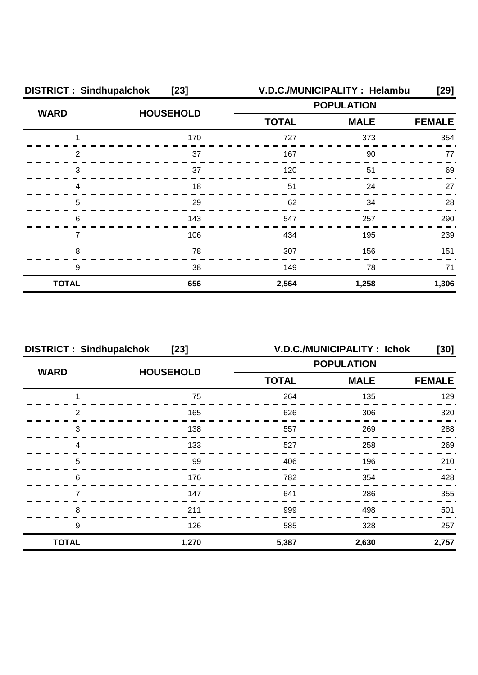| <b>DISTRICT: Sindhupalchok</b><br>$[23]$ |                  | V.D.C./MUNICIPALITY: Helambu<br>[29] |                   |               |
|------------------------------------------|------------------|--------------------------------------|-------------------|---------------|
| <b>WARD</b>                              |                  |                                      | <b>POPULATION</b> |               |
|                                          | <b>HOUSEHOLD</b> | <b>TOTAL</b>                         | <b>MALE</b>       | <b>FEMALE</b> |
|                                          | 170              | 727                                  | 373               | 354           |
| 2                                        | 37               | 167                                  | 90                |               |
| 3                                        | 37               | 120                                  | 51                | 69            |
|                                          | 18               | 51                                   | 24                | 27            |
| 5                                        | 29               | 62                                   | 34                | 28            |
| 6                                        | 143              | 547                                  | 257               | 290           |
|                                          | 106              | 434                                  | 195               | 239           |
| 8                                        | 78               | 307                                  | 156               | 151           |
| 9                                        | 38               | 149                                  | 78                | 71            |
| <b>TOTAL</b>                             | 656              | 2,564                                | 1,258             | 1,306         |

| <b>DISTRICT: Sindhupalchok</b><br>$[23]$ |                  |              | V.D.C./MUNICIPALITY: Ichok | [30]          |
|------------------------------------------|------------------|--------------|----------------------------|---------------|
| <b>WARD</b>                              |                  |              | <b>POPULATION</b>          |               |
|                                          | <b>HOUSEHOLD</b> | <b>TOTAL</b> | <b>MALE</b>                | <b>FEMALE</b> |
|                                          | 75               | 264          | 135                        | 129           |
| 2                                        | 165              | 626          | 306                        | 320           |
| З                                        | 138              | 557          | 269                        | 288           |
| 4                                        | 133              | 527          | 258                        | 269           |
| 5                                        | 99               | 406          | 196                        | 210           |
| 6                                        | 176              | 782          | 354                        | 428           |
|                                          | 147              | 641          | 286                        | 355           |
| 8                                        | 211              | 999          | 498                        | 501           |
| 9                                        | 126              | 585          | 328                        | 257           |
| <b>TOTAL</b>                             | 1,270            | 5,387        | 2,630                      | 2,757         |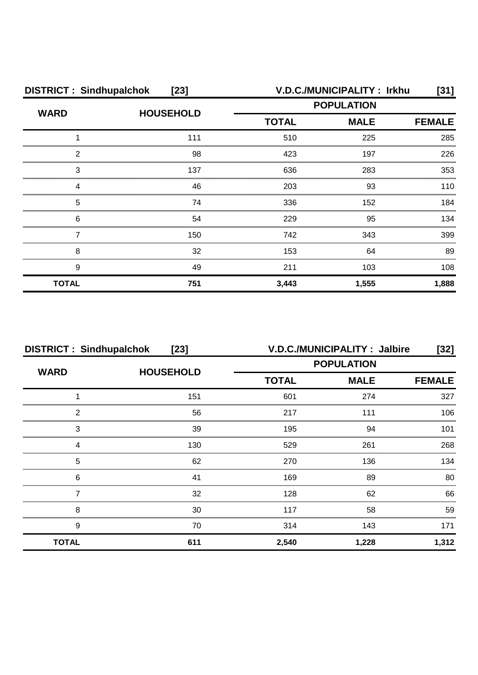| <b>DISTRICT: Sindhupalchok</b><br>$[23]$ |                  |              | V.D.C./MUNICIPALITY: Irkhu | [31]          |
|------------------------------------------|------------------|--------------|----------------------------|---------------|
| <b>WARD</b>                              | <b>HOUSEHOLD</b> |              | <b>POPULATION</b>          |               |
|                                          |                  | <b>TOTAL</b> | <b>MALE</b>                | <b>FEMALE</b> |
|                                          | 111              | 510          | 225                        | 285           |
| 2                                        | 98               | 423          | 197                        | 226           |
| 3                                        | 137              | 636          | 283                        | 353           |
| Δ                                        | 46               | 203          | 93                         | 110           |
| 5                                        | 74               | 336          | 152                        | 184           |
| 6                                        | 54               | 229          | 95                         | 134           |
|                                          | 150              | 742          | 343                        | 399           |
| 8                                        | 32               | 153          | 64                         | 89            |
| 9                                        | 49               | 211          | 103                        | 108           |
| <b>TOTAL</b>                             | 751              | 3,443        | 1,555                      | 1,888         |

| <b>DISTRICT: Sindhupalchok</b><br>$[23]$ |                  | V.D.C./MUNICIPALITY: Jalbire<br>[32] |             |               |
|------------------------------------------|------------------|--------------------------------------|-------------|---------------|
| <b>WARD</b>                              | <b>HOUSEHOLD</b> | <b>POPULATION</b>                    |             |               |
|                                          |                  | <b>TOTAL</b>                         | <b>MALE</b> | <b>FEMALE</b> |
|                                          | 151              | 601                                  | 274         | 327           |
| っ                                        | 56               | 217                                  | 111         | 106           |
| 3                                        | 39               | 195                                  | 94          | 101           |
|                                          | 130              | 529                                  | 261         | 268           |
| 5                                        | 62               | 270                                  | 136         | 134           |
| 6                                        | 41               | 169                                  | 89          | 80            |
|                                          | 32               | 128                                  | 62          | 66            |
| 8                                        | 30               | 117                                  | 58          | 59            |
| 9                                        | 70               | 314                                  | 143         | 171           |
| <b>TOTAL</b>                             | 611              | 2,540                                | 1,228       | 1,312         |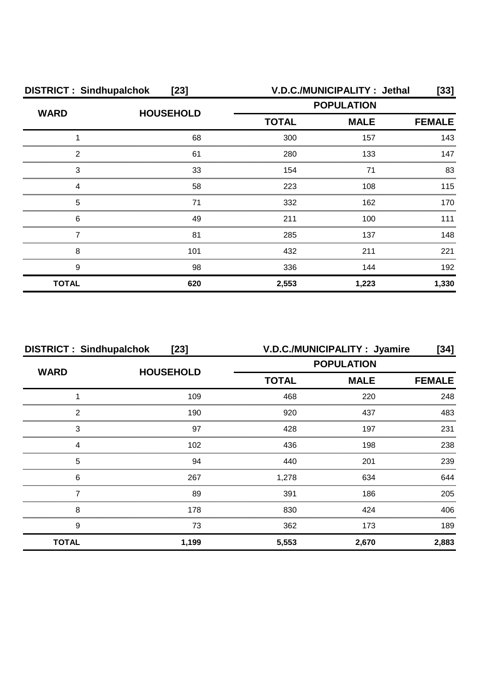| <b>DISTRICT: Sindhupalchok</b><br>$[23]$ |                  |                                                  | V.D.C./MUNICIPALITY : Jethal | [33]          |
|------------------------------------------|------------------|--------------------------------------------------|------------------------------|---------------|
| <b>WARD</b>                              | <b>HOUSEHOLD</b> | <b>POPULATION</b><br><b>MALE</b><br><b>TOTAL</b> |                              |               |
|                                          |                  |                                                  |                              | <b>FEMALE</b> |
|                                          | 68               | 300                                              | 157                          | 143           |
| 2                                        | 61               | 280                                              | 133                          | 147           |
| З                                        | 33               | 154                                              | 71                           | 83            |
| 4                                        | 58               | 223                                              | 108                          | 115           |
| 5                                        | 71               | 332                                              | 162                          | 170           |
| 6                                        | 49               | 211                                              | 100                          | 111           |
|                                          | 81               | 285                                              | 137                          | 148           |
| 8                                        | 101              | 432                                              | 211                          | 221           |
| 9                                        | 98               | 336                                              | 144                          | 192           |
| <b>TOTAL</b>                             | 620              | 2,553                                            | 1,223                        | 1,330         |

| <b>DISTRICT: Sindhupalchok</b><br>$[23]$ |                  |              | V.D.C./MUNICIPALITY : Jyamire<br>[34] |       |  |  |
|------------------------------------------|------------------|--------------|---------------------------------------|-------|--|--|
| <b>WARD</b>                              | <b>HOUSEHOLD</b> |              | <b>POPULATION</b>                     |       |  |  |
|                                          |                  | <b>TOTAL</b> | <b>MALE</b><br><b>FEMALE</b>          |       |  |  |
|                                          | 109              | 468          | 220                                   | 248   |  |  |
| っ                                        | 190              | 920          | 437                                   | 483   |  |  |
| 3                                        | 97               | 428          | 197                                   | 231   |  |  |
|                                          | 102              | 436          | 198                                   | 238   |  |  |
| 5                                        | 94               | 440          | 201                                   | 239   |  |  |
| 6                                        | 267              | 1,278        | 634                                   | 644   |  |  |
|                                          | 89               | 391          | 186                                   | 205   |  |  |
| 8                                        | 178              | 830          | 424                                   | 406   |  |  |
| 9                                        | 73               | 362          | 173                                   | 189   |  |  |
| <b>TOTAL</b>                             | 1,199            | 5,553        | 2,670                                 | 2,883 |  |  |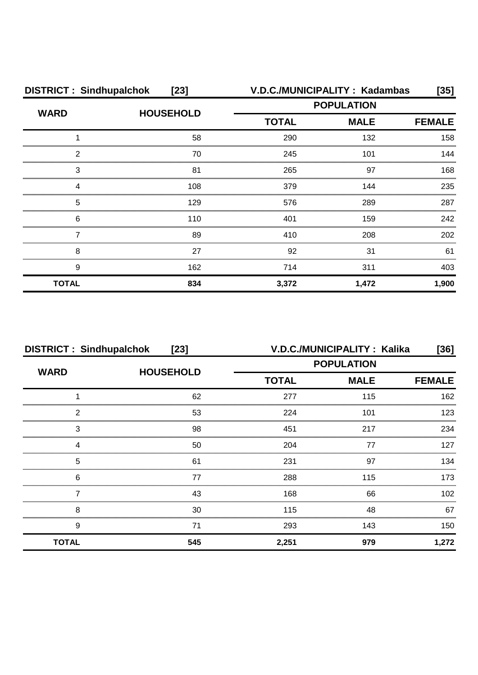| <b>DISTRICT: Sindhupalchok</b> | $[23]$           |                   | V.D.C./MUNICIPALITY: Kadambas | [35]  |
|--------------------------------|------------------|-------------------|-------------------------------|-------|
| <b>WARD</b>                    | <b>HOUSEHOLD</b> | <b>POPULATION</b> |                               |       |
|                                |                  | <b>TOTAL</b>      | <b>MALE</b><br><b>FEMALE</b>  |       |
|                                | 58               | 290               | 132                           | 158   |
| 2                              | 70               | 245               | 101                           | 144   |
| 3                              | 81               | 265               | 97                            | 168   |
| Δ                              | 108              | 379               | 144                           | 235   |
| 5                              | 129              | 576               | 289                           | 287   |
| 6                              | 110              | 401               | 159                           | 242   |
|                                | 89               | 410               | 208                           | 202   |
| 8                              | 27               | 92                | 31                            | 61    |
| 9                              | 162              | 714               | 311                           | 403   |
| <b>TOTAL</b>                   | 834              | 3,372             | 1,472                         | 1,900 |

| <b>DISTRICT: Sindhupalchok</b><br>$[23]$ |                  |                   | V.D.C./MUNICIPALITY: Kalika | [36]             |
|------------------------------------------|------------------|-------------------|-----------------------------|------------------|
| <b>WARD</b>                              | <b>HOUSEHOLD</b> | <b>POPULATION</b> |                             |                  |
|                                          |                  | <b>TOTAL</b>      | <b>MALE</b>                 | <b>FEMALE</b>    |
|                                          | 62               | 277               | 115                         | 162              |
| 2                                        | 53               | 224               | 101                         | 123              |
| 3                                        | 98               | 451               | 217                         | 234              |
|                                          | 50               | 204               | 77                          | 127              |
| 5                                        | 61               | 231               | 97                          | 134              |
| 6                                        | 77               | 288               | 115                         | 173              |
|                                          | 43               | 168               | 66                          | 102 <sub>1</sub> |
| 8                                        | 30               | 115               | 48                          | 67               |
| 9                                        | 71               | 293               | 143                         | 150              |
| <b>TOTAL</b>                             | 545              | 2,251             | 979                         | 1,272            |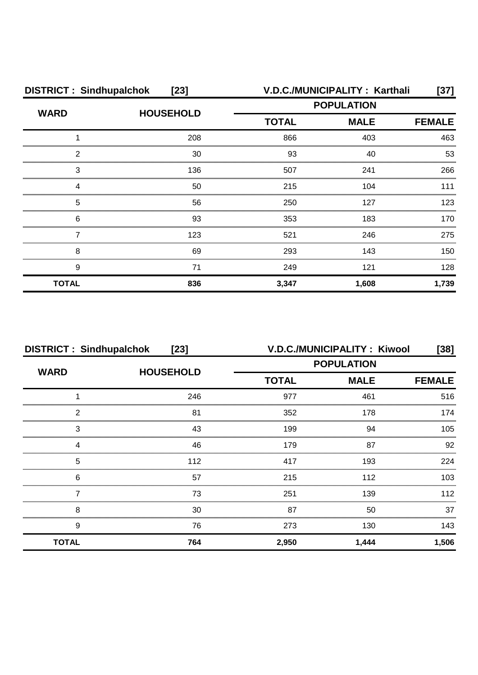| <b>DISTRICT: Sindhupalchok</b><br>$[23]$ |                  |                   | V.D.C./MUNICIPALITY: Karthali | [37]          |
|------------------------------------------|------------------|-------------------|-------------------------------|---------------|
| <b>WARD</b>                              | <b>HOUSEHOLD</b> | <b>POPULATION</b> |                               |               |
|                                          |                  | <b>TOTAL</b>      | <b>MALE</b>                   | <b>FEMALE</b> |
|                                          | 208              | 866               | 403                           | 463           |
| 2                                        | 30               | 93                | 40                            | 53            |
| 3                                        | 136              | 507               | 241                           | 266           |
|                                          | 50               | 215               | 104                           | 111           |
| 5                                        | 56               | 250               | 127                           | 123           |
| 6                                        | 93               | 353               | 183                           | 170           |
|                                          | 123              | 521               | 246                           | 275           |
| 8                                        | 69               | 293               | 143                           | 150           |
| 9                                        | 71               | 249               | 121                           | 128           |
| <b>TOTAL</b>                             | 836              | 3,347             | 1,608                         | 1,739         |

| <b>DISTRICT: Sindhupalchok</b><br>$[23]$ |                  |                             | V.D.C./MUNICIPALITY: Kiwool | $[38]$           |
|------------------------------------------|------------------|-----------------------------|-----------------------------|------------------|
| <b>WARD</b>                              | <b>HOUSEHOLD</b> | <b>POPULATION</b>           |                             |                  |
|                                          |                  | <b>MALE</b><br><b>TOTAL</b> | <b>FEMALE</b>               |                  |
|                                          | 246              | 977                         | 461                         | 516              |
| 2                                        | 81               | 352                         | 178                         | 174              |
| 3                                        | 43               | 199                         | 94                          | 105              |
|                                          | 46               | 179                         | 87                          | 92               |
| 5                                        | 112              | 417                         | 193                         | 224              |
| 6                                        | 57               | 215                         | 112                         | 103 <sub>1</sub> |
|                                          | 73               | 251                         | 139                         | 112              |
| 8                                        | 30               | 87                          | 50                          | 37               |
| 9                                        | 76               | 273                         | 130                         | 143              |
| <b>TOTAL</b>                             | 764              | 2,950                       | 1,444                       | 1,506            |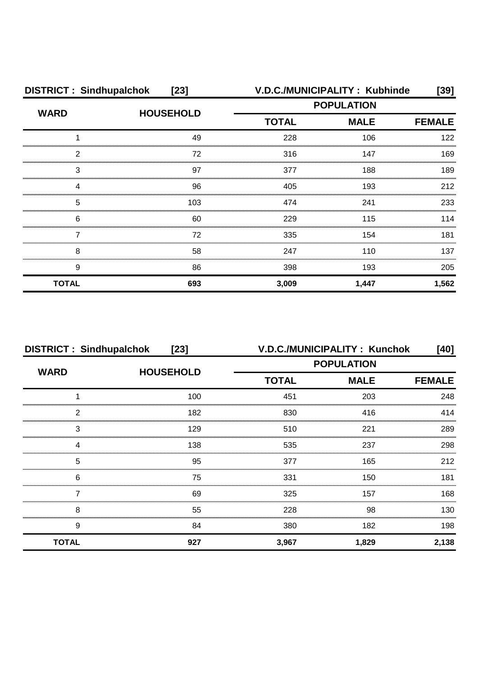| <b>DISTRICT: Sindhupalchok</b><br>$[23]$ |                  | V.D.C./MUNICIPALITY: Kubhinde<br>[39] |             |               |
|------------------------------------------|------------------|---------------------------------------|-------------|---------------|
| <b>WARD</b>                              | <b>HOUSEHOLD</b> | <b>POPULATION</b>                     |             |               |
|                                          |                  | <b>TOTAL</b>                          | <b>MALE</b> | <b>FEMALE</b> |
|                                          | 49               | 228                                   | 106         | 122           |
| 2                                        | 72               | 316                                   | 147         | 169           |
| 3                                        | 97               | 377                                   | 188         | 189           |
| Δ                                        | 96               | 405                                   | 193         | 212           |
| 5                                        | 103              | 474                                   | 241         | 233           |
| 6                                        | 60               | 229                                   | 115         | 114           |
|                                          | 72               | 335                                   | 154         | 181           |
| 8                                        | 58               | 247                                   | 110         | 137           |
| 9                                        | 86               | 398                                   | 193         | 205           |
| <b>TOTAL</b>                             | 693              | 3,009                                 | 1,447       | 1,562         |

| <b>DISTRICT: Sindhupalchok</b><br>$[23]$ |                  | V.D.C./MUNICIPALITY: Kunchok<br>[40] |             |               |
|------------------------------------------|------------------|--------------------------------------|-------------|---------------|
| <b>WARD</b>                              | <b>HOUSEHOLD</b> | <b>POPULATION</b>                    |             |               |
|                                          |                  | <b>TOTAL</b>                         | <b>MALE</b> | <b>FEMALE</b> |
|                                          | 100              | 451                                  | 203         | 248           |
| 2                                        | 182              | 830                                  | 416         | 414           |
| 3                                        | 129              | 510                                  | 221         | 289           |
|                                          | 138              | 535                                  | 237         | 298           |
| 5                                        | 95               | 377                                  | 165         | 212           |
| 6                                        | 75               | 331                                  | 150         | 181           |
|                                          | 69               | 325                                  | 157         | 168           |
| 8                                        | 55               | 228                                  | 98          | 130           |
| 9                                        | 84               | 380                                  | 182         | 198           |
| <b>TOTAL</b>                             | 927              | 3,967                                | 1,829       | 2,138         |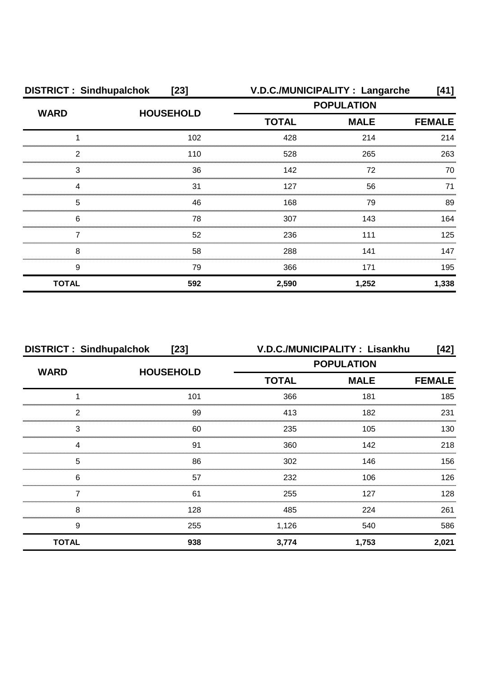| <b>DISTRICT: Sindhupalchok</b><br>$[23]$ |                  |                   | V.D.C./MUNICIPALITY : Langarche | [41]          |
|------------------------------------------|------------------|-------------------|---------------------------------|---------------|
| <b>WARD</b>                              |                  | <b>POPULATION</b> |                                 |               |
|                                          | <b>HOUSEHOLD</b> | <b>TOTAL</b>      | <b>MALE</b>                     | <b>FEMALE</b> |
|                                          | 102              | 428               | 214                             | 214           |
| 2                                        | 110              | 528               | 265                             | 263           |
| 3                                        | 36               | 142               | 72                              | 70            |
|                                          | 31               | 127               | 56                              | 71            |
| 5                                        | 46               | 168               | 79                              | 89            |
| 6                                        | 78               | 307               | 143                             | 164           |
|                                          | 52               | 236               | 111                             | 125           |
| 8                                        | 58               | 288               | 141                             | 147           |
| 9                                        | 79               | 366               | 171                             | 195           |
| <b>TOTAL</b>                             | 592              | 2,590             | 1,252                           | 1,338         |

| <b>DISTRICT: Sindhupalchok</b><br>$[23]$ |                  |                   | V.D.C./MUNICIPALITY: Lisankhu | [42]          |  |
|------------------------------------------|------------------|-------------------|-------------------------------|---------------|--|
| <b>WARD</b>                              | <b>HOUSEHOLD</b> | <b>POPULATION</b> |                               |               |  |
|                                          |                  | <b>TOTAL</b>      | <b>MALE</b>                   | <b>FEMALE</b> |  |
|                                          | 101              | 366               | 181                           | 185           |  |
| っ                                        | 99               | 413               | 182                           | 231           |  |
| 3                                        | 60               | 235               | 105                           | 130           |  |
|                                          | 91               | 360               | 142                           | 218           |  |
| 5                                        | 86               | 302               | 146                           | 156           |  |
| 6                                        | 57               | 232               | 106                           | 126           |  |
|                                          | 61               | 255               | 127                           | 128           |  |
| 8                                        | 128              | 485               | 224                           | 261           |  |
| 9                                        | 255              | 1,126             | 540                           | 586           |  |
| <b>TOTAL</b>                             | 938              | 3,774             | 1,753                         | 2,021         |  |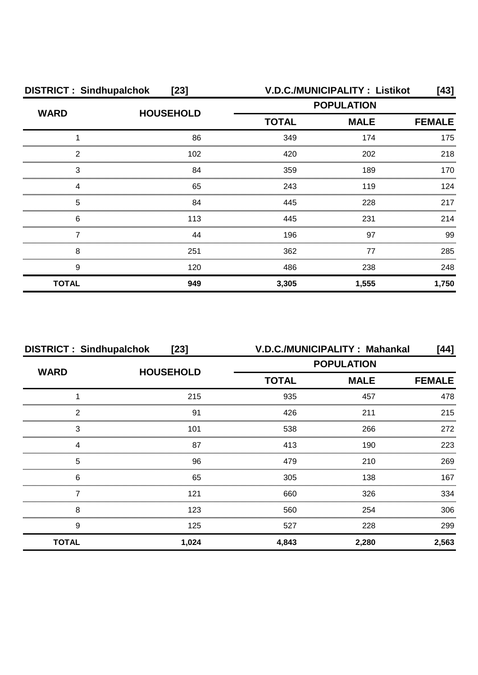| <b>DISTRICT: Sindhupalchok</b><br>$[23]$ |                  | <b>V.D.C./MUNICIPALITY: Listikot</b><br>$[43]$ |                   |       |
|------------------------------------------|------------------|------------------------------------------------|-------------------|-------|
| <b>WARD</b>                              | <b>HOUSEHOLD</b> |                                                | <b>POPULATION</b> |       |
|                                          |                  | <b>TOTAL</b><br><b>MALE</b>                    | <b>FEMALE</b>     |       |
|                                          | 86               | 349                                            | 174               | 175   |
| 2                                        | 102              | 420                                            | 202               | 218   |
| 3                                        | 84               | 359                                            | 189               | 170   |
| Δ                                        | 65               | 243                                            | 119               | 124   |
| 5                                        | 84               | 445                                            | 228               | 217   |
| 6                                        | 113              | 445                                            | 231               | 214   |
|                                          | 44               | 196                                            | 97                | 99    |
| 8                                        | 251              | 362                                            | 77                | 285   |
| 9                                        | 120              | 486                                            | 238               | 248   |
| <b>TOTAL</b>                             | 949              | 3,305                                          | 1,555             | 1,750 |

| <b>DISTRICT: Sindhupalchok</b><br>$[23]$ |                  | V.D.C./MUNICIPALITY: Mahankal<br>[44] |             |               |  |
|------------------------------------------|------------------|---------------------------------------|-------------|---------------|--|
| <b>WARD</b>                              | <b>HOUSEHOLD</b> | <b>POPULATION</b>                     |             |               |  |
|                                          |                  | <b>TOTAL</b>                          | <b>MALE</b> | <b>FEMALE</b> |  |
|                                          | 215              | 935                                   | 457         | 478           |  |
| っ                                        | 91               | 426                                   | 211         | 215           |  |
| 3                                        | 101              | 538                                   | 266         | 272           |  |
|                                          | 87               | 413                                   | 190         | 223           |  |
| 5                                        | 96               | 479                                   | 210         | 269           |  |
| 6                                        | 65               | 305                                   | 138         | 167           |  |
|                                          | 121              | 660                                   | 326         | 334           |  |
| 8                                        | 123              | 560                                   | 254         | 306           |  |
| 9                                        | 125              | 527                                   | 228         | 299           |  |
| <b>TOTAL</b>                             | 1,024            | 4,843                                 | 2,280       | 2,563         |  |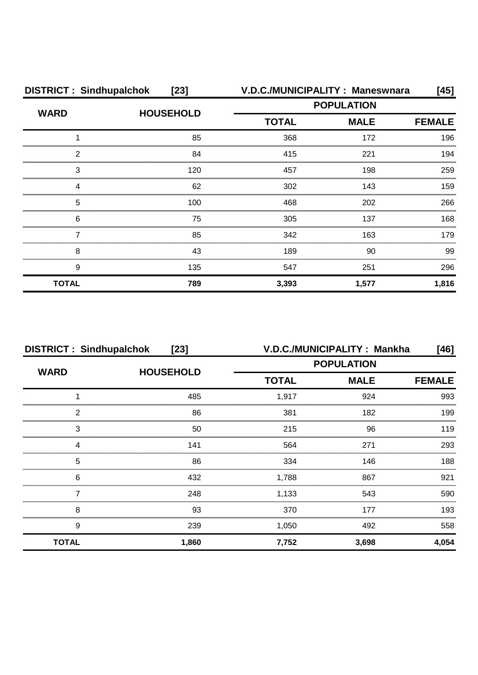| <b>DISTRICT: Sindhupalchok</b><br>$[23]$ |                  | V.D.C./MUNICIPALITY: Maneswnara<br>[45] |             |               |
|------------------------------------------|------------------|-----------------------------------------|-------------|---------------|
| <b>WARD</b>                              |                  | <b>POPULATION</b>                       |             |               |
|                                          | <b>HOUSEHOLD</b> | <b>TOTAL</b>                            | <b>MALE</b> | <b>FEMALE</b> |
|                                          | 85               | 368                                     | 172         | 196           |
| 2                                        | 84               | 415                                     | 221         | 194           |
| 3                                        | 120              | 457                                     | 198         | 259           |
| Δ                                        | 62               | 302                                     | 143         | 159           |
| 5                                        | 100              | 468                                     | 202         | 266           |
| 6                                        | 75               | 305                                     | 137         | 168.          |
|                                          | 85               | 342                                     | 163         | 179           |
| 8                                        | 43               | 189                                     | 90          | 99            |
| 9                                        | 135              | 547                                     | 251         | 296           |
| <b>TOTAL</b>                             | 789              | 3,393                                   | 1,577       | 1,816         |

| <b>DISTRICT: Sindhupalchok</b><br>$[23]$ |                  |                   | V.D.C./MUNICIPALITY: Mankha | [46]          |
|------------------------------------------|------------------|-------------------|-----------------------------|---------------|
| <b>WARD</b>                              | <b>HOUSEHOLD</b> | <b>POPULATION</b> |                             |               |
|                                          |                  | <b>TOTAL</b>      | <b>MALE</b>                 | <b>FEMALE</b> |
|                                          | 485              | 1,917             | 924                         | 993           |
| っ                                        | 86               | 381               | 182                         | 199           |
| 3                                        | 50               | 215               | 96                          | 119           |
|                                          | 141              | 564               | 271                         | 293           |
| 5                                        | 86               | 334               | 146                         | 188           |
| 6                                        | 432              | 1,788             | 867                         | 921           |
|                                          | 248              | 1,133             | 543                         | 590           |
| 8                                        | 93               | 370               | 177                         | 193           |
| 9                                        | 239              | 1,050             | 492                         | 558           |
| <b>TOTAL</b>                             | 1,860            | 7,752             | 3,698                       | 4,054         |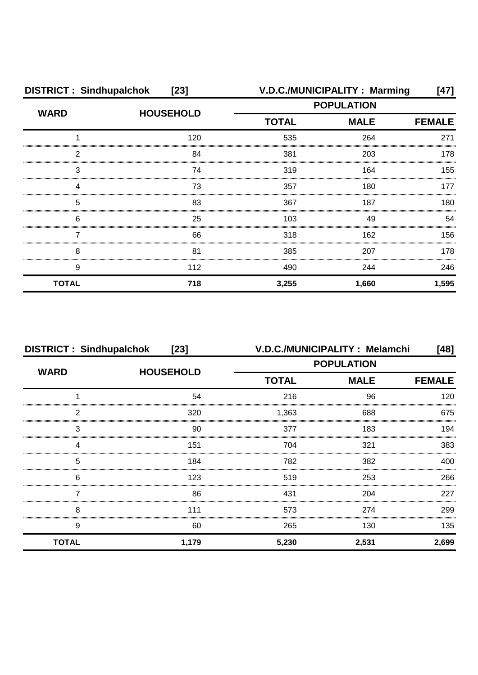| <b>DISTRICT: Sindhupalchok</b><br>$[23]$ |                  |                   | V.D.C./MUNICIPALITY: Marming | [47]          |
|------------------------------------------|------------------|-------------------|------------------------------|---------------|
| <b>WARD</b>                              | <b>HOUSEHOLD</b> | <b>POPULATION</b> |                              |               |
|                                          |                  | <b>TOTAL</b>      | <b>MALE</b>                  | <b>FEMALE</b> |
|                                          | 120              | 535               | 264                          | 271           |
| 2                                        | 84               | 381               | 203                          | 178           |
| 3                                        | 74               | 319               | 164                          | 155           |
|                                          | 73               | 357               | 180                          | 177           |
| 5                                        | 83               | 367               | 187                          | 180           |
| 6                                        | 25               | 103               | 49                           | 54            |
|                                          | 66               | 318               | 162                          | 156           |
| 8                                        | 81               | 385               | 207                          | 178           |
| 9                                        | 112              | 490               | 244                          | 246           |
| <b>TOTAL</b>                             | 718              | 3,255             | 1,660                        | 1,595         |

| <b>DISTRICT: Sindhupalchok</b><br>$[23]$ |                  | V.D.C./MUNICIPALITY: Melamchi<br>[48] |                   |               |
|------------------------------------------|------------------|---------------------------------------|-------------------|---------------|
|                                          |                  |                                       | <b>POPULATION</b> |               |
| <b>WARD</b>                              | <b>HOUSEHOLD</b> | <b>TOTAL</b>                          | <b>MALE</b>       | <b>FEMALE</b> |
|                                          | 54               | 216                                   | 96                | 120           |
| っ                                        | 320              | 1,363                                 | 688               | 675           |
| 3                                        | 90               | 377                                   | 183               | 194           |
|                                          | 151              | 704                                   | 321               | 383           |
| 5                                        | 184              | 782                                   | 382               | 400           |
| 6                                        | 123              | 519                                   | 253               | 266           |
|                                          | 86               | 431                                   | 204               | 227           |
| 8                                        | 111              | 573                                   | 274               | 299           |
| 9                                        | 60               | 265                                   | 130               | 135           |
| <b>TOTAL</b>                             | 1,179            | 5,230                                 | 2,531             | 2,699         |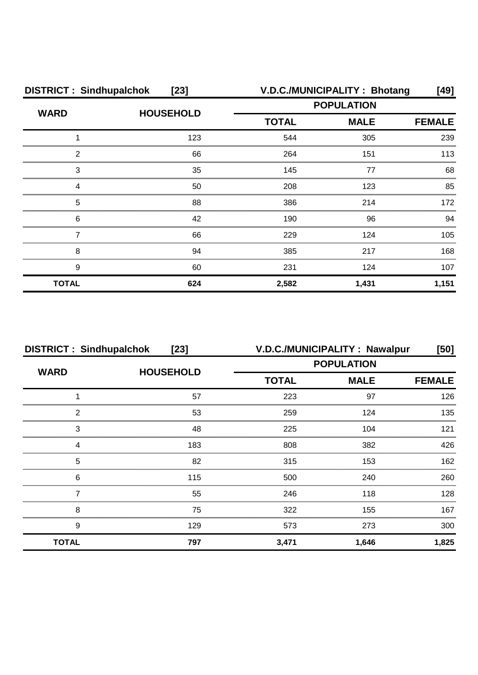| <b>DISTRICT: Sindhupalchok</b><br>$[23]$ |                  |                   | V.D.C./MUNICIPALITY: Bhotang | [49]          |
|------------------------------------------|------------------|-------------------|------------------------------|---------------|
| <b>WARD</b>                              | <b>HOUSEHOLD</b> | <b>POPULATION</b> |                              |               |
|                                          |                  | <b>TOTAL</b>      | <b>MALE</b>                  | <b>FEMALE</b> |
|                                          | 123              | 544               | 305                          | 239           |
| 2                                        | 66               | 264               | 151                          | 113           |
| 3                                        | 35               | 145               | 77                           | 68            |
| Δ                                        | 50               | 208               | 123                          | 85            |
| 5                                        | 88               | 386               | 214                          | 172           |
| 6                                        | 42               | 190               | 96                           | 94            |
|                                          | 66               | 229               | 124                          | 105           |
| 8                                        | 94               | 385               | 217                          | 168           |
| 9                                        | 60               | 231               | 124                          | 107           |
| <b>TOTAL</b>                             | 624              | 2,582             | 1,431                        | 1,151         |

| <b>DISTRICT: Sindhupalchok</b><br>$[23]$ |                  |              | V.D.C./MUNICIPALITY: Nawalpur | [50]          |
|------------------------------------------|------------------|--------------|-------------------------------|---------------|
| <b>WARD</b>                              | <b>HOUSEHOLD</b> |              | <b>POPULATION</b>             |               |
|                                          |                  | <b>TOTAL</b> | <b>MALE</b>                   | <b>FEMALE</b> |
|                                          | 57               | 223          | 97                            | 126           |
| 2                                        | 53               | 259          | 124                           | 135           |
| 3                                        | 48               | 225          | 104                           | 121           |
| 4                                        | 183              | 808          | 382                           | 426           |
| 5                                        | 82               | 315          | 153                           | 162           |
| 6                                        | 115              | 500          | 240                           | 260           |
|                                          | 55               | 246          | 118                           | 128           |
| 8                                        | 75               | 322          | 155                           | 167           |
| 9                                        | 129              | 573          | 273                           | 300           |
| <b>TOTAL</b>                             | 797              | 3,471        | 1,646                         | 1,825         |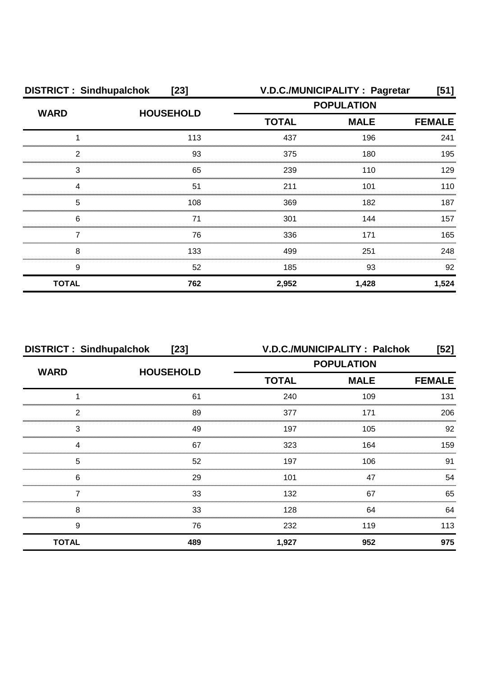| <b>DISTRICT: Sindhupalchok</b><br>$[23]$ |                  |                   | V.D.C./MUNICIPALITY: Pagretar | [51]          |
|------------------------------------------|------------------|-------------------|-------------------------------|---------------|
| <b>WARD</b>                              | <b>HOUSEHOLD</b> | <b>POPULATION</b> |                               |               |
|                                          |                  | <b>TOTAL</b>      | <b>MALE</b>                   | <b>FEMALE</b> |
|                                          | 113              | 437               | 196                           | 241           |
| 2                                        | 93               | 375               | 180                           | 195           |
| З                                        | 65               | 239               | 110                           | 129           |
|                                          | 51               | 211               | 101                           | 110           |
| 5                                        | 108              | 369               | 182                           | 187           |
| 6                                        | 71               | 301               | 144                           | 157           |
|                                          | 76               | 336               | 171                           | 165           |
| 8                                        | 133              | 499               | 251                           | 248           |
| 9                                        | 52               | 185               | 93                            | 92            |
| <b>TOTAL</b>                             | 762              | 2,952             | 1,428                         | 1,524         |

| <b>DISTRICT: Sindhupalchok</b><br>$[23]$ |                  |                   | V.D.C./MUNICIPALITY: Palchok | [52]          |
|------------------------------------------|------------------|-------------------|------------------------------|---------------|
| <b>WARD</b>                              | <b>HOUSEHOLD</b> | <b>POPULATION</b> |                              |               |
|                                          |                  | <b>TOTAL</b>      | <b>MALE</b>                  | <b>FEMALE</b> |
|                                          | 61               | 240               | 109                          | 131           |
| 2                                        | 89               | 377               | 171                          | 206           |
| 3                                        | 49               | 197               | 105                          | 92            |
|                                          | 67               | 323               | 164                          | 159           |
| 5                                        | 52               | 197               | 106                          | .91           |
| 6                                        | 29               | 101               | 47                           | 54            |
|                                          | 33               | 132               | 67                           | 65            |
| 8                                        | 33               | 128               | 64                           | 64            |
| 9                                        | 76               | 232               | 119                          | 113           |
| <b>TOTAL</b>                             | 489              | 1,927             | 952                          | 975           |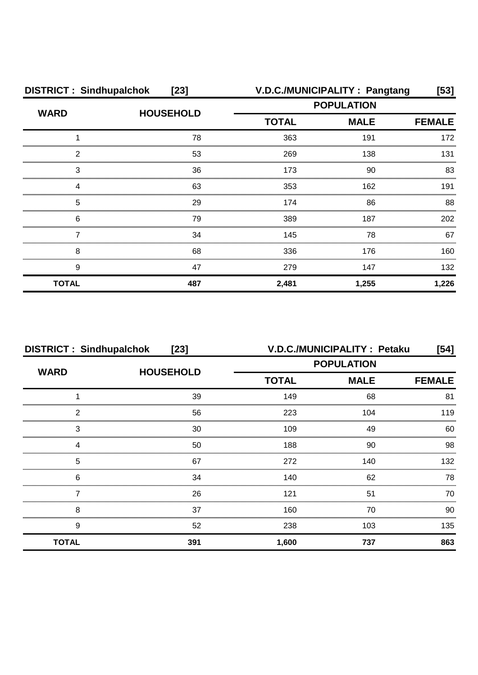| <b>DISTRICT: Sindhupalchok</b><br>$[23]$ |                  |              | V.D.C./MUNICIPALITY: Pangtang | $[53]$        |
|------------------------------------------|------------------|--------------|-------------------------------|---------------|
|                                          | <b>HOUSEHOLD</b> |              | <b>POPULATION</b>             |               |
| <b>WARD</b>                              |                  | <b>TOTAL</b> | <b>MALE</b>                   | <b>FEMALE</b> |
|                                          | 78               | 363          | 191                           | 172           |
| 2                                        | 53               | 269          | 138                           | 131           |
| 3                                        | 36               | 173          | 90                            | 83            |
|                                          | 63               | 353          | 162                           | 191           |
| 5                                        | 29               | 174          | 86                            | 88            |
| 6                                        | 79               | 389          | 187                           | 202           |
|                                          | 34               | 145          | 78                            | 67            |
| 8                                        | 68               | 336          | 176                           | 160           |
| 9                                        | 47               | 279          | 147                           | 132           |
| <b>TOTAL</b>                             | 487              | 2,481        | 1,255                         | 1,226         |

| <b>DISTRICT: Sindhupalchok</b><br>$[23]$ |                  |                             | V.D.C./MUNICIPALITY : Petaku | [54] |
|------------------------------------------|------------------|-----------------------------|------------------------------|------|
| <b>WARD</b>                              | <b>HOUSEHOLD</b> | <b>POPULATION</b>           |                              |      |
|                                          |                  | <b>TOTAL</b><br><b>MALE</b> | <b>FEMALE</b>                |      |
|                                          | 39               | 149                         | 68                           | 81   |
| 2                                        | 56               | 223                         | 104                          | 119  |
| 3                                        | 30               | 109                         | 49                           | 60   |
|                                          | 50               | 188                         | 90                           | 98   |
| 5                                        | 67               | 272                         | 140                          | 132  |
| 6                                        | 34               | 140                         | 62                           | 78   |
|                                          | 26               | 121                         | 51                           | 70   |
| 8                                        | 37               | 160                         | 70                           | 90   |
| 9                                        | 52               | 238                         | 103                          | 135  |
| <b>TOTAL</b>                             | 391              | 1,600                       | 737                          | 863  |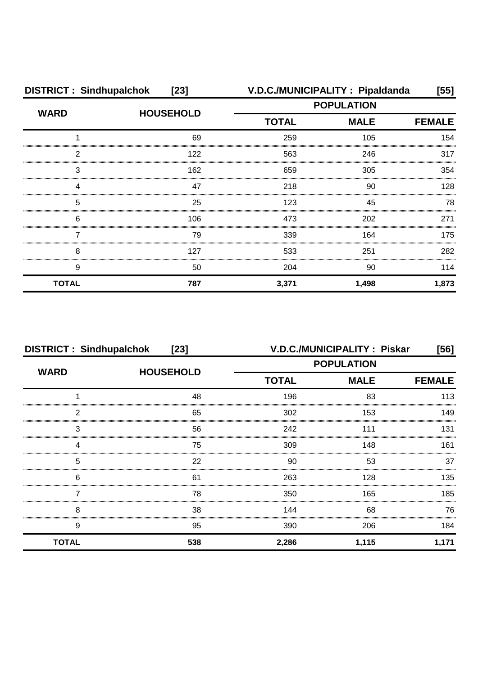| <b>DISTRICT: Sindhupalchok</b><br>$[23]$ |                  | V.D.C./MUNICIPALITY : Pipaldanda<br>$[55]$ |                   |               |
|------------------------------------------|------------------|--------------------------------------------|-------------------|---------------|
|                                          |                  |                                            | <b>POPULATION</b> |               |
| <b>WARD</b>                              | <b>HOUSEHOLD</b> | <b>TOTAL</b>                               | <b>MALE</b>       | <b>FEMALE</b> |
|                                          | 69               | 259                                        | 105               | 154           |
| 2                                        | 122              | 563                                        | 246               | 317           |
| 3                                        | 162              | 659                                        | 305               | 354           |
| Δ                                        | 47               | 218                                        | 90                | 128           |
| 5                                        | 25               | 123                                        | 45                | 78            |
| 6                                        | 106              | 473                                        | 202               | 271           |
|                                          | 79               | 339                                        | 164               | 175           |
| 8                                        | 127              | 533                                        | 251               | 282           |
| 9                                        | 50               | 204                                        | 90                | 114           |
| <b>TOTAL</b>                             | 787              | 3,371                                      | 1,498             | 1,873         |

|              | <b>DISTRICT: Sindhupalchok</b><br>$[23]$ |                   | V.D.C./MUNICIPALITY: Piskar | [56]          |
|--------------|------------------------------------------|-------------------|-----------------------------|---------------|
| <b>WARD</b>  |                                          | <b>POPULATION</b> |                             |               |
|              | <b>HOUSEHOLD</b>                         | <b>TOTAL</b>      | <b>MALE</b>                 | <b>FEMALE</b> |
|              | 48                                       | 196               | 83                          | 113           |
| っ            | 65                                       | 302               | 153                         | 149           |
| 3            | 56                                       | 242               | 111                         | 131           |
|              | 75                                       | 309               | 148                         | 161           |
| 5            | 22                                       | 90                | 53                          | 37            |
| 6            | 61                                       | 263               | 128                         | 135           |
|              | 78                                       | 350               | 165                         | 185           |
| 8            | 38                                       | 144               | 68                          | 76            |
| 9            | 95                                       | 390               | 206                         | 184           |
| <b>TOTAL</b> | 538                                      | 2,286             | 1,115                       | 1,171         |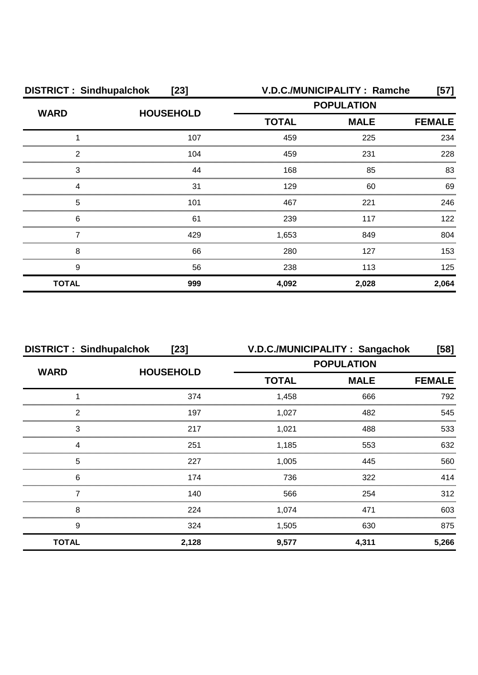| <b>DISTRICT: Sindhupalchok</b><br>$[23]$ |                  |              | V.D.C./MUNICIPALITY : Ramche | $[57]$        |
|------------------------------------------|------------------|--------------|------------------------------|---------------|
| <b>WARD</b>                              | <b>HOUSEHOLD</b> |              | <b>POPULATION</b>            |               |
|                                          |                  | <b>TOTAL</b> | <b>MALE</b>                  | <b>FEMALE</b> |
|                                          | 107              | 459          | 225                          | 234           |
| 2                                        | 104              | 459          | 231                          | 228           |
| 3                                        | 44               | 168          | 85                           | 83            |
|                                          | 31               | 129          | 60                           | 69            |
| 5                                        | 101              | 467          | 221                          | 246           |
| 6                                        | 61               | 239          | 117                          | 122           |
|                                          | 429              | 1,653        | 849                          | 804           |
| 8                                        | 66               | 280          | 127                          | 153           |
| 9                                        | 56               | 238          | 113                          | 125           |
| <b>TOTAL</b>                             | 999              | 4,092        | 2,028                        | 2,064         |

| <b>DISTRICT: Sindhupalchok</b> | $[23]$           | V.D.C./MUNICIPALITY: Sangachok |             | [58]          |
|--------------------------------|------------------|--------------------------------|-------------|---------------|
| <b>WARD</b>                    | <b>HOUSEHOLD</b> | <b>POPULATION</b>              |             |               |
|                                |                  | <b>TOTAL</b>                   | <b>MALE</b> | <b>FEMALE</b> |
|                                | 374              | 1,458                          | 666         | 792           |
| っ                              | 197              | 1,027                          | 482         | 545           |
| 3                              | 217              | 1.021                          | 488         | 533           |
|                                | 251              | 1,185                          | 553         | 632           |
| 5                              | 227              | 1.005                          | 445         | 560           |
| 6                              | 174              | 736                            | 322         | 414           |
|                                | 140              | 566                            | 254         | 312           |
| 8                              | 224              | 1,074                          | 471         | 603           |
| 9                              | 324              | 1,505                          | 630         | 875           |
| <b>TOTAL</b>                   | 2,128            | 9,577                          | 4,311       | 5,266         |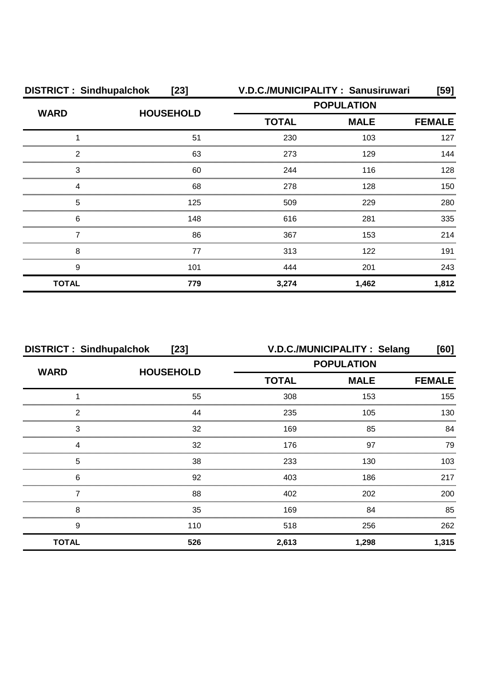| <b>DISTRICT: Sindhupalchok</b> | $[23]$           |                   | V.D.C./MUNICIPALITY: Sanusiruwari | [59]          |
|--------------------------------|------------------|-------------------|-----------------------------------|---------------|
| <b>WARD</b>                    | <b>HOUSEHOLD</b> | <b>POPULATION</b> |                                   |               |
|                                |                  | <b>TOTAL</b>      | <b>MALE</b>                       | <b>FEMALE</b> |
|                                | 51               | 230               | 103                               | 127           |
| 2                              | 63               | 273               | 129                               | 144           |
| 3                              | 60               | 244               | 116                               | 128           |
| 4                              | 68               | 278               | 128                               | 150           |
| 5                              | 125              | 509               | 229                               | 280           |
| 6                              | 148              | 616               | 281                               | 335           |
|                                | 86               | 367               | 153                               | 214           |
| 8                              | 77               | 313               | 122                               | 191           |
| 9                              | 101              | 444               | 201                               | 243           |
| <b>TOTAL</b>                   | 779              | 3,274             | 1,462                             | 1,812         |

| <b>DISTRICT: Sindhupalchok</b><br>$[23]$ |                  |                   | V.D.C./MUNICIPALITY: Selang | [60]          |
|------------------------------------------|------------------|-------------------|-----------------------------|---------------|
| <b>WARD</b>                              | <b>HOUSEHOLD</b> | <b>POPULATION</b> |                             |               |
|                                          |                  | <b>TOTAL</b>      | <b>MALE</b>                 | <b>FEMALE</b> |
|                                          | 55               | 308               | 153                         | 155           |
| າ                                        | 44               | 235               | 105                         | 130           |
| 3                                        | 32               | 169               | 85                          | 84            |
|                                          | 32               | 176               | 97                          | 79            |
| 5                                        | 38               | 233               | 130                         | 103           |
| 6                                        | 92               | 403               | 186                         | 217           |
|                                          | 88               | 402               | 202                         | 200           |
| 8                                        | 35               | 169               | 84                          | 85            |
| 9                                        | 110              | 518               | 256                         | 262           |
| <b>TOTAL</b>                             | 526              | 2,613             | 1,298                       | 1,315         |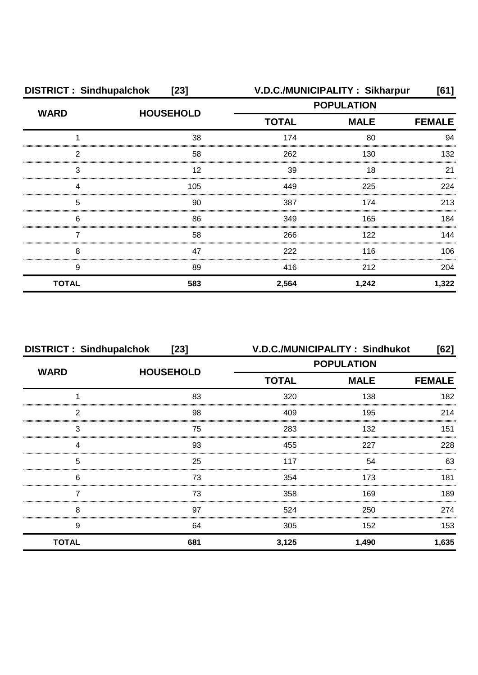| <b>DISTRICT: Sindhupalchok</b><br>$[23]$ |                  | V.D.C./MUNICIPALITY: Sikharpur<br>[61] |             |               |
|------------------------------------------|------------------|----------------------------------------|-------------|---------------|
| <b>WARD</b>                              | <b>HOUSEHOLD</b> | <b>POPULATION</b>                      |             |               |
|                                          |                  | <b>TOTAL</b>                           | <b>MALE</b> | <b>FEMALE</b> |
|                                          | 38               | 174                                    | 80          | 94            |
| 2                                        | 58               | 262                                    | 130         | 132           |
| 3                                        | 12               | 39                                     | 18          | 21            |
| Δ                                        | 105              | 449                                    | 225         | 224           |
| 5                                        | 90               | 387                                    | 174         | 213           |
| 6                                        | 86               | 349                                    | 165         | 184           |
|                                          | 58               | 266                                    | 122         | 144           |
| 8                                        | 47               | 222                                    | 116         | 106           |
| 9                                        | 89               | 416                                    | 212         | 204           |
| <b>TOTAL</b>                             | 583              | 2,564                                  | 1,242       | 1,322         |

| <b>DISTRICT: Sindhupalchok</b><br>$[23]$ |                  |                   | V.D.C./MUNICIPALITY: Sindhukot | [62]          |
|------------------------------------------|------------------|-------------------|--------------------------------|---------------|
| <b>WARD</b>                              | <b>HOUSEHOLD</b> | <b>POPULATION</b> |                                |               |
|                                          |                  | <b>TOTAL</b>      | <b>MALE</b>                    | <b>FEMALE</b> |
|                                          | 83               | 320               | 138                            | 182           |
| 2                                        | 98               | 409               | 195                            | 214           |
| 3                                        | 75               | 283               | 132                            | 151           |
| Δ                                        | 93               | 455               | 227                            | 228           |
| 5                                        | 25               | 117               | 54                             | 63            |
| 6                                        | 73               | 354               | 173                            | 181           |
|                                          | 73               | 358               | 169                            | 189           |
| 8                                        | 97               | 524               | 250                            | 274           |
| 9                                        | 64               | 305               | 152                            | 153           |
| <b>TOTAL</b>                             | 681              | 3,125             | 1,490                          | 1,635         |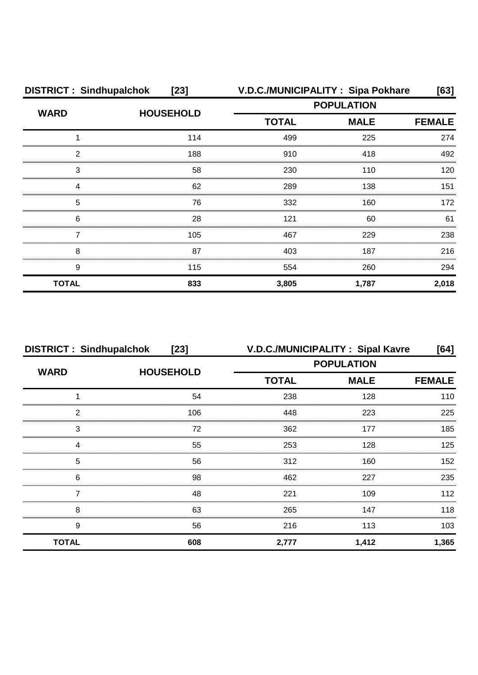| <b>DISTRICT: Sindhupalchok</b> | $[23]$           |                             | V.D.C./MUNICIPALITY: Sipa Pokhare | [63]  |  |
|--------------------------------|------------------|-----------------------------|-----------------------------------|-------|--|
| <b>WARD</b>                    | <b>HOUSEHOLD</b> | <b>POPULATION</b>           |                                   |       |  |
|                                |                  | <b>TOTAL</b><br><b>MALE</b> | <b>FEMALE</b>                     |       |  |
|                                | 114              | 499                         | 225                               | 274   |  |
| 2                              | 188              | 910                         | 418                               | 492   |  |
| 3                              | 58               | 230                         | 110                               | 120   |  |
|                                | 62               | 289                         | 138                               | 151   |  |
| 5                              | 76               | 332                         | 160                               | 172   |  |
| 6                              | 28               | 121                         | 60                                | 61    |  |
|                                | 105              | 467                         | 229                               | 238   |  |
| 8                              | 87               | 403                         | 187                               | 216   |  |
| 9                              | 115              | 554                         | 260                               | 294   |  |
| <b>TOTAL</b>                   | 833              | 3,805                       | 1,787                             | 2,018 |  |

| <b>DISTRICT: Sindhupalchok</b> | $[23]$           | V.D.C./MUNICIPALITY: Sipal Kavre |             | [64]          |  |
|--------------------------------|------------------|----------------------------------|-------------|---------------|--|
| <b>WARD</b>                    | <b>HOUSEHOLD</b> | <b>POPULATION</b>                |             |               |  |
|                                |                  | <b>TOTAL</b>                     | <b>MALE</b> | <b>FEMALE</b> |  |
|                                | 54               | 238                              | 128         | 110           |  |
| っ                              | 106              | 448                              | 223         | 225           |  |
| 3                              | 72               | 362                              | 177         | 185           |  |
|                                | 55               | 253                              | 128         | 125           |  |
| 5                              | 56               | 312                              | 160         | 152           |  |
| 6                              | 98               | 462                              | 227         | 235           |  |
|                                | 48               | 221                              | 109         | 112           |  |
| 8                              | 63               | 265                              | 147         | 118           |  |
| 9                              | 56               | 216                              | 113         | 103           |  |
| <b>TOTAL</b>                   | 608              | 2,777                            | 1,412       | 1,365         |  |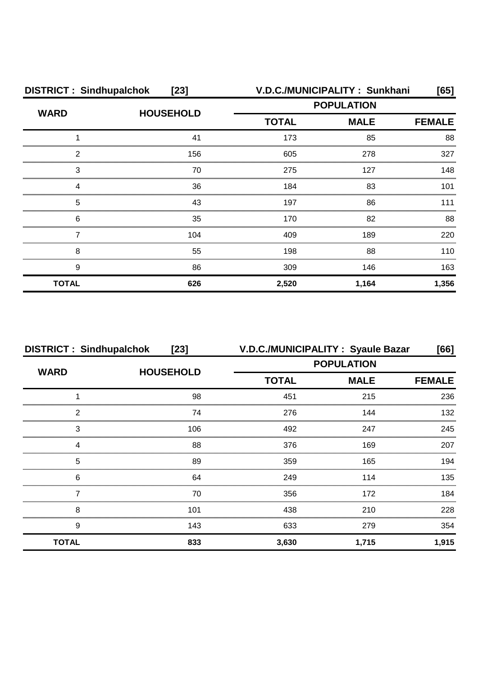| <b>DISTRICT: Sindhupalchok</b><br>$[23]$ |                  |                             | V.D.C./MUNICIPALITY: Sunkhani | [65]  |
|------------------------------------------|------------------|-----------------------------|-------------------------------|-------|
| <b>WARD</b>                              | <b>HOUSEHOLD</b> | <b>POPULATION</b>           |                               |       |
|                                          |                  | <b>TOTAL</b><br><b>MALE</b> | <b>FEMALE</b>                 |       |
|                                          | 41               | 173                         | 85                            | 88    |
| 2                                        | 156              | 605                         | 278                           | 327   |
| 3                                        | 70               | 275                         | 127                           | 148   |
| Δ                                        | 36               | 184                         | 83                            | 101   |
| 5                                        | 43               | 197                         | 86                            | 111   |
| 6                                        | 35               | 170                         | 82                            | 88    |
|                                          | 104              | 409                         | 189                           | 220   |
| 8                                        | 55               | 198                         | 88                            | 110   |
| 9                                        | 86               | 309                         | 146                           | 163   |
| <b>TOTAL</b>                             | 626              | 2,520                       | 1,164                         | 1,356 |

| <b>DISTRICT: Sindhupalchok</b> | $[23]$           | V.D.C./MUNICIPALITY: Syaule Bazar |             | [66]          |
|--------------------------------|------------------|-----------------------------------|-------------|---------------|
| <b>WARD</b>                    | <b>HOUSEHOLD</b> | <b>POPULATION</b>                 |             |               |
|                                |                  | <b>TOTAL</b>                      | <b>MALE</b> | <b>FEMALE</b> |
|                                | 98               | 451                               | 215         | 236           |
| っ                              | 74               | 276                               | 144         | 132           |
| 3                              | 106              | 492                               | 247         | 245           |
|                                | 88               | 376                               | 169         | 207           |
| 5                              | 89               | 359                               | 165         | 194           |
| 6                              | 64               | 249                               | 114         | 135           |
|                                | 70               | 356                               | 172         | 184           |
| 8                              | 101              | 438                               | 210         | 228           |
| 9                              | 143              | 633                               | 279         | 354           |
| <b>TOTAL</b>                   | 833              | 3,630                             | 1,715       | 1,915         |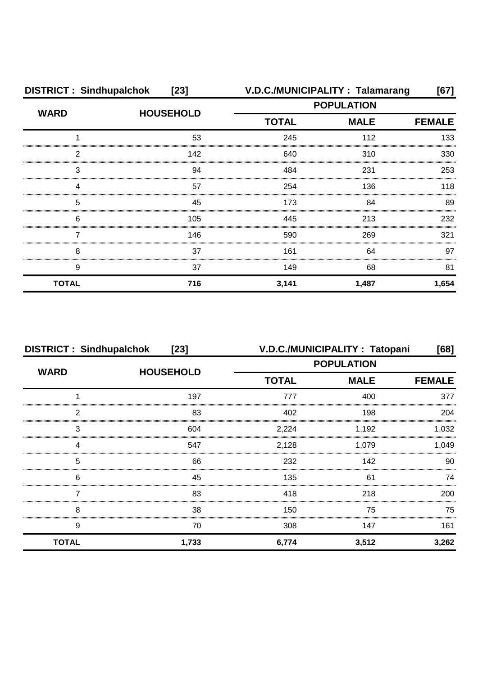| <b>DISTRICT: Sindhupalchok</b> | $[23]$           |                             | V.D.C./MUNICIPALITY: Talamarang | [67]          |
|--------------------------------|------------------|-----------------------------|---------------------------------|---------------|
| <b>WARD</b>                    | <b>HOUSEHOLD</b> | <b>POPULATION</b>           |                                 |               |
|                                |                  | <b>TOTAL</b><br><b>MALE</b> |                                 | <b>FEMALE</b> |
|                                | 53               | 245                         | 112                             | 133           |
| 2                              | 142              | 640                         | 310                             | 330           |
| 3                              | 94               | 484                         | 231                             | 253           |
| Δ                              | 57               | 254                         | 136                             | 118           |
| 5                              | 45               | 173                         | 84                              | 89            |
| 6                              | 105              | 445                         | 213                             | 232           |
|                                | 146              | 590                         | 269                             | 321           |
| 8                              | 37               | 161                         | 64                              | 97            |
| 9                              | 37               | 149                         | 68                              | 81            |
| <b>TOTAL</b>                   | 716              | 3,141                       | 1,487                           | 1,654         |

| <b>DISTRICT: Sindhupalchok</b><br>$[23]$ |                  |                   | V.D.C./MUNICIPALITY: Tatopani | [68]          |
|------------------------------------------|------------------|-------------------|-------------------------------|---------------|
| <b>WARD</b>                              | <b>HOUSEHOLD</b> | <b>POPULATION</b> |                               |               |
|                                          |                  | <b>TOTAL</b>      | <b>MALE</b>                   | <b>FEMALE</b> |
|                                          | 197              | 777               | 400                           | 377           |
| っ                                        | 83               | 402               | 198                           | 204           |
| 3                                        | 604              | 2,224             | 1.192                         | 1,032         |
|                                          | 547              | 2,128             | 1.079                         | 1,049         |
| 5                                        | 66               | 232               | 142                           | 90            |
| 6                                        | 45               | 135               | 61                            | 74            |
|                                          | 83               | 418               | 218                           | 200           |
| 8                                        | 38               | 150               | 75                            | 75            |
| 9                                        | 70               | 308               | 147                           | 161           |
| <b>TOTAL</b>                             | 1,733            | 6,774             | 3,512                         | 3,262         |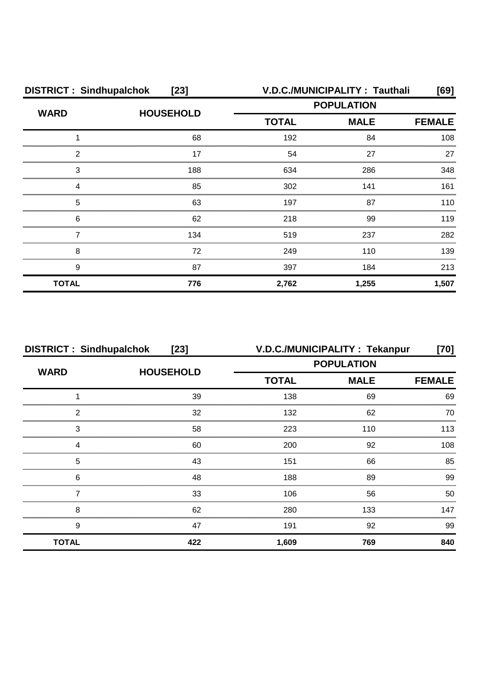| <b>DISTRICT: Sindhupalchok</b><br>$[23]$ |                  | V.D.C./MUNICIPALITY: Tauthali<br>[69] |                   |               |
|------------------------------------------|------------------|---------------------------------------|-------------------|---------------|
| <b>WARD</b>                              |                  |                                       | <b>POPULATION</b> |               |
|                                          | <b>HOUSEHOLD</b> | <b>TOTAL</b><br><b>MALE</b>           |                   | <b>FEMALE</b> |
|                                          | 68               | 192                                   | 84                | 108           |
| 2                                        | 17               | 54                                    | 27                | 27            |
| 3                                        | 188              | 634                                   | 286               | 348           |
| Δ                                        | 85               | 302                                   | 141               | 161           |
| 5                                        | 63               | 197                                   | 87                | 110           |
| 6                                        | 62               | 218                                   | 99                | 119           |
|                                          | 134              | 519                                   | 237               | 282           |
| 8                                        | 72               | 249                                   | 110               | 139           |
| 9                                        | 87               | 397                                   | 184               | 213           |
| <b>TOTAL</b>                             | 776              | 2,762                                 | 1,255             | 1,507         |

| <b>DISTRICT: Sindhupalchok</b> | $[23]$           |                   | V.D.C./MUNICIPALITY: Tekanpur | [70]          |
|--------------------------------|------------------|-------------------|-------------------------------|---------------|
| <b>WARD</b>                    | <b>HOUSEHOLD</b> | <b>POPULATION</b> |                               |               |
|                                |                  | <b>TOTAL</b>      | <b>MALE</b>                   | <b>FEMALE</b> |
|                                | 39               | 138               | 69                            | 69            |
| っ                              | 32               | 132               | 62                            | 70            |
| 3                              | 58               | 223               | 110                           | 113           |
|                                | 60               | 200               | 92                            | 108           |
| 5                              | 43               | 151               | 66                            | 85            |
| 6                              | 48               | 188               | 89                            | 99            |
|                                | 33               | 106               | 56                            | 50            |
| 8                              | 62               | 280               | 133                           | 147           |
| 9                              | 47               | 191               | 92                            | 99            |
| <b>TOTAL</b>                   | 422              | 1,609             | 769                           | 840           |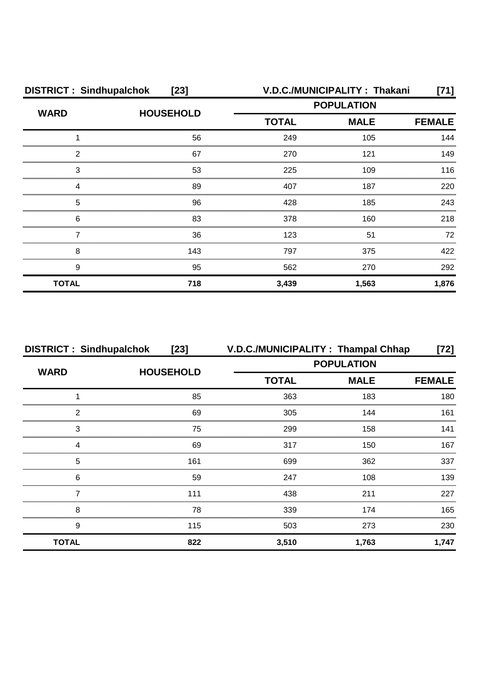| <b>DISTRICT: Sindhupalchok</b><br>$[23]$ |                  | V.D.C./MUNICIPALITY: Thakani<br>[71] |             |               |
|------------------------------------------|------------------|--------------------------------------|-------------|---------------|
| <b>WARD</b>                              | <b>HOUSEHOLD</b> | <b>POPULATION</b>                    |             |               |
|                                          |                  | <b>TOTAL</b>                         | <b>MALE</b> | <b>FEMALE</b> |
|                                          | 56               | 249                                  | 105         | 144           |
| 2                                        | 67               | 270                                  | 121         | 149           |
| 3                                        | 53               | 225                                  | 109         | 116           |
|                                          | 89               | 407                                  | 187         | 220           |
| 5                                        | 96               | 428                                  | 185         | 243           |
| 6                                        | 83               | 378                                  | 160         | 218           |
|                                          | 36               | 123                                  | 51          | 72            |
| 8                                        | 143              | 797                                  | 375         | 422           |
| 9                                        | 95               | 562                                  | 270         | 292           |
| <b>TOTAL</b>                             | 718              | 3,439                                | 1,563       | 1,876         |

| <b>DISTRICT: Sindhupalchok</b> | $[23]$           | V.D.C./MUNICIPALITY: Thampal Chhap |             | [72]          |
|--------------------------------|------------------|------------------------------------|-------------|---------------|
| <b>WARD</b>                    | <b>HOUSEHOLD</b> | <b>POPULATION</b>                  |             |               |
|                                |                  | <b>TOTAL</b>                       | <b>MALE</b> | <b>FEMALE</b> |
|                                | 85               | 363                                | 183         | 180           |
| 2                              | 69               | 305                                | 144         | 161           |
| 3                              | 75               | 299                                | 158         | 141           |
| Δ                              | 69               | 317                                | 150         | 167           |
| 5                              | 161              | 699                                | 362         | 337           |
| 6                              | 59               | 247                                | 108         | 139           |
|                                | 111              | 438                                | 211         | 227           |
| 8                              | 78               | 339                                | 174         | 165           |
| 9                              | 115              | 503                                | 273         | 230           |
| <b>TOTAL</b>                   | 822              | 3,510                              | 1,763       | 1,747         |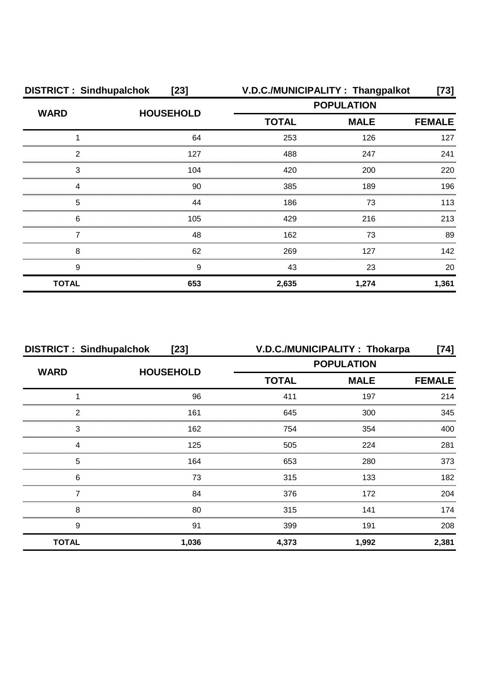| <b>DISTRICT: Sindhupalchok</b><br>$[23]$ |                  |                   | V.D.C./MUNICIPALITY: Thangpalkot | [73]          |
|------------------------------------------|------------------|-------------------|----------------------------------|---------------|
| <b>WARD</b>                              |                  | <b>POPULATION</b> |                                  |               |
|                                          | <b>HOUSEHOLD</b> | <b>TOTAL</b>      | <b>MALE</b>                      | <b>FEMALE</b> |
|                                          | 64               | 253               | 126                              | 127           |
| 2                                        | 127              | 488               | 247                              | 241           |
| 3                                        | 104              | 420               | 200                              | 220           |
| 4                                        | 90               | 385               | 189                              | 196           |
| 5                                        | 44               | 186               | 73                               | 113           |
| 6                                        | 105              | 429               | 216                              | 213           |
|                                          | 48               | 162               | 73                               | 89            |
| 8                                        | 62               | 269               | 127                              | 142           |
| 9                                        | 9                | 43                | 23                               | 20            |
| <b>TOTAL</b>                             | 653              | 2,635             | 1,274                            | 1,361         |

| <b>DISTRICT: Sindhupalchok</b><br>$[23]$ |                  | V.D.C./MUNICIPALITY: Thokarpa<br>[74] |             |               |
|------------------------------------------|------------------|---------------------------------------|-------------|---------------|
| <b>WARD</b>                              | <b>HOUSEHOLD</b> | <b>POPULATION</b>                     |             |               |
|                                          |                  | <b>TOTAL</b>                          | <b>MALE</b> | <b>FEMALE</b> |
|                                          | 96               | 411                                   | 197         | 214           |
| っ                                        | 161              | 645                                   | 300         | 345           |
| 3                                        | 162              | 754                                   | 354         | 400           |
|                                          | 125              | 505                                   | 224         | 281           |
| 5                                        | 164              | 653                                   | 280         | 373           |
| 6                                        | 73               | 315                                   | 133         | 182           |
|                                          | 84               | 376                                   | 172         | 204           |
| 8                                        | 80               | 315                                   | 141         | 174           |
| 9                                        | 91               | 399                                   | 191         | 208           |
| <b>TOTAL</b>                             | 1,036            | 4,373                                 | 1,992       | 2,381         |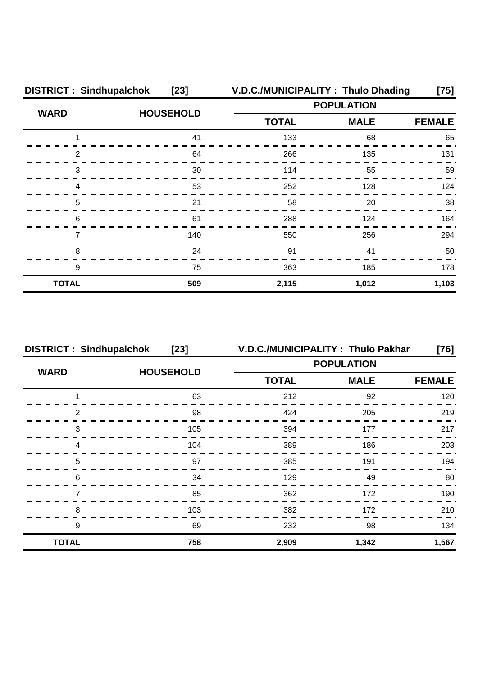| <b>DISTRICT: Sindhupalchok</b><br>$[23]$ |                  |                   | V.D.C./MUNICIPALITY: Thulo Dhading | [75]          |
|------------------------------------------|------------------|-------------------|------------------------------------|---------------|
| <b>WARD</b>                              | <b>HOUSEHOLD</b> | <b>POPULATION</b> |                                    |               |
|                                          |                  | <b>TOTAL</b>      | <b>MALE</b>                        | <b>FEMALE</b> |
|                                          | 41               | 133               | 68                                 | 65            |
| 2                                        | 64               | 266               | 135                                | 131           |
| 3                                        | 30               | 114               | 55                                 | 59            |
|                                          | 53               | 252               | 128                                | 124           |
| 5                                        | 21               | 58                | 20                                 | 38            |
| 6                                        | 61               | 288               | 124                                | 164           |
|                                          | 140              | 550               | 256                                | 294           |
| 8                                        | 24               | 91                | 41                                 | 50            |
| 9                                        | 75               | 363               | 185                                | 178           |
| <b>TOTAL</b>                             | 509              | 2,115             | 1,012                              | 1,103         |

| <b>DISTRICT: Sindhupalchok</b><br>$[23]$ |                  | V.D.C./MUNICIPALITY: Thulo Pakhar<br>$[76]$ |             |               |
|------------------------------------------|------------------|---------------------------------------------|-------------|---------------|
| <b>WARD</b>                              |                  | <b>POPULATION</b>                           |             |               |
|                                          | <b>HOUSEHOLD</b> | <b>TOTAL</b>                                | <b>MALE</b> | <b>FEMALE</b> |
|                                          | 63               | 212                                         | 92          | 120           |
| 2                                        | 98               | 424                                         | 205         | 219           |
| 3                                        | 105              | 394                                         | 177         | 217           |
|                                          | 104              | 389                                         | 186         | 203           |
| 5                                        | 97               | 385                                         | 191         | 194           |
| 6                                        | 34               | 129                                         | 49          | 80            |
|                                          | 85               | 362                                         | 172         | 190           |
| 8                                        | 103              | 382                                         | 172         | 210           |
| 9                                        | 69               | 232                                         | 98          | 134           |
| <b>TOTAL</b>                             | 758              | 2,909                                       | 1,342       | 1,567         |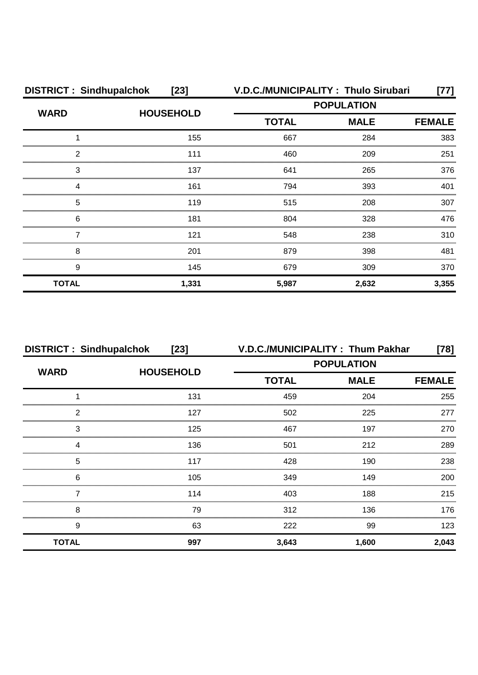| <b>DISTRICT: Sindhupalchok</b><br>$[23]$ |                  |                   | V.D.C./MUNICIPALITY: Thulo Sirubari | [77]          |
|------------------------------------------|------------------|-------------------|-------------------------------------|---------------|
| <b>WARD</b>                              |                  | <b>POPULATION</b> |                                     |               |
|                                          | <b>HOUSEHOLD</b> | <b>TOTAL</b>      | <b>MALE</b>                         | <b>FEMALE</b> |
|                                          | 155              | 667               | 284                                 | 383           |
| 2                                        | 111              | 460               | 209                                 | 251           |
| 3                                        | 137              | 641               | 265                                 | 376           |
| 4                                        | 161              | 794               | 393                                 | 401           |
| 5                                        | 119              | 515               | 208                                 | 307           |
| 6                                        | 181              | 804               | 328                                 | 476           |
|                                          | 121              | 548               | 238                                 | 310           |
| 8                                        | 201              | 879               | 398                                 | 481           |
| 9                                        | 145              | 679               | 309                                 | 370           |
| <b>TOTAL</b>                             | 1,331            | 5,987             | 2,632                               | 3,355         |

| <b>DISTRICT: Sindhupalchok</b><br>$[23]$ |                  | V.D.C./MUNICIPALITY: Thum Pakhar<br>[78] |             |               |
|------------------------------------------|------------------|------------------------------------------|-------------|---------------|
| <b>WARD</b>                              |                  | <b>POPULATION</b>                        |             |               |
|                                          | <b>HOUSEHOLD</b> | <b>TOTAL</b>                             | <b>MALE</b> | <b>FEMALE</b> |
|                                          | 131              | 459                                      | 204         | 255           |
| 2                                        | 127              | 502                                      | 225         | 277           |
| 3                                        | 125              | 467                                      | 197         | 270           |
|                                          | 136              | 501                                      | 212         | 289           |
| 5                                        | 117              | 428                                      | 190         | 238           |
| 6                                        | 105              | 349                                      | 149         | 200           |
|                                          | 114              | 403                                      | 188         | 215           |
| 8                                        | 79               | 312                                      | 136         | 176           |
| 9                                        | 63               | 222                                      | 99          | 123           |
| <b>TOTAL</b>                             | 997              | 3,643                                    | 1,600       | 2,043         |